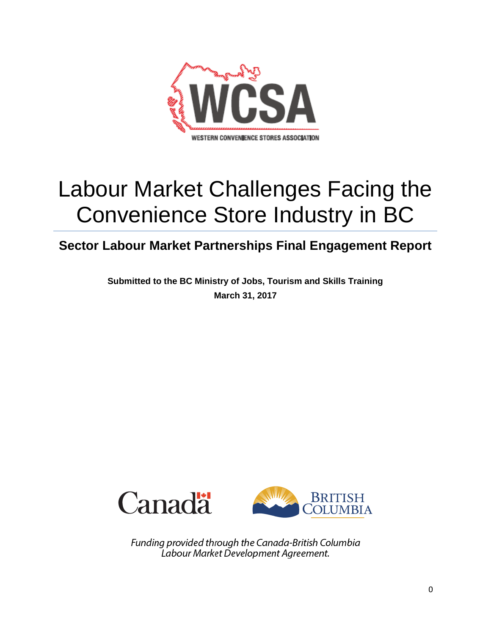

# Labour Market Challenges Facing the Convenience Store Industry in BC

**Sector Labour Market Partnerships Final Engagement Report**

**Submitted to the BC Ministry of Jobs, Tourism and Skills Training March 31, 2017**





Funding provided through the Canada-British Columbia Labour Market Development Agreement.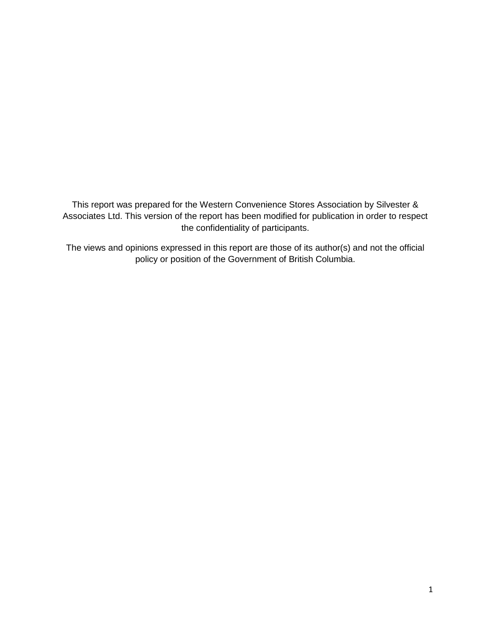This report was prepared for the Western Convenience Stores Association by Silvester & Associates Ltd. This version of the report has been modified for publication in order to respect the confidentiality of participants.

The views and opinions expressed in this report are those of its author(s) and not the official policy or position of the Government of British Columbia.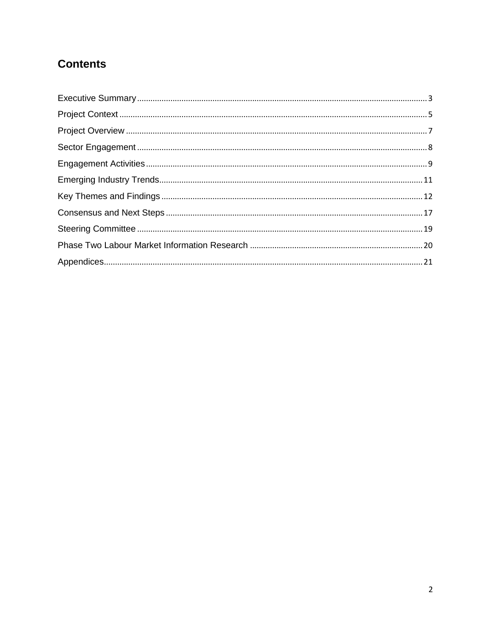# **Contents**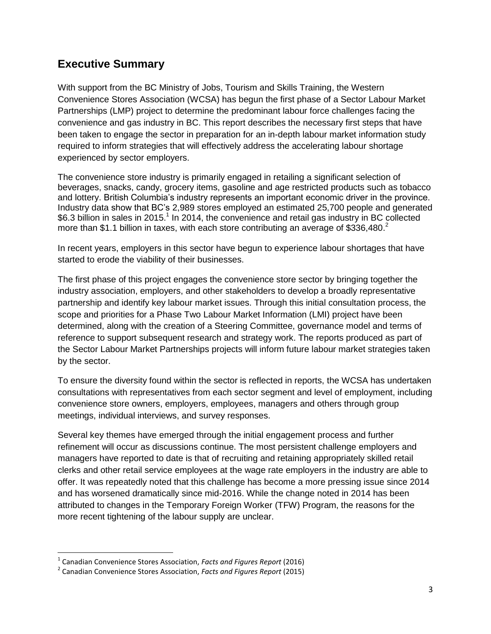# <span id="page-3-0"></span>**Executive Summary**

With support from the BC Ministry of Jobs, Tourism and Skills Training, the Western Convenience Stores Association (WCSA) has begun the first phase of a Sector Labour Market Partnerships (LMP) project to determine the predominant labour force challenges facing the convenience and gas industry in BC. This report describes the necessary first steps that have been taken to engage the sector in preparation for an in-depth labour market information study required to inform strategies that will effectively address the accelerating labour shortage experienced by sector employers.

The convenience store industry is primarily engaged in retailing a significant selection of beverages, snacks, candy, grocery items, gasoline and age restricted products such as tobacco and lottery. British Columbia's industry represents an important economic driver in the province. Industry data show that BC's 2,989 stores employed an estimated 25,700 people and generated \$6.3 billion in sales in 2015.<sup>1</sup> In 2014, the convenience and retail gas industry in BC collected more than \$1.1 billion in taxes, with each store contributing an average of \$336,480.<sup>2</sup>

In recent years, employers in this sector have begun to experience labour shortages that have started to erode the viability of their businesses.

The first phase of this project engages the convenience store sector by bringing together the industry association, employers, and other stakeholders to develop a broadly representative partnership and identify key labour market issues. Through this initial consultation process, the scope and priorities for a Phase Two Labour Market Information (LMI) project have been determined, along with the creation of a Steering Committee, governance model and terms of reference to support subsequent research and strategy work. The reports produced as part of the Sector Labour Market Partnerships projects will inform future labour market strategies taken by the sector.

To ensure the diversity found within the sector is reflected in reports, the WCSA has undertaken consultations with representatives from each sector segment and level of employment, including convenience store owners, employers, employees, managers and others through group meetings, individual interviews, and survey responses.

Several key themes have emerged through the initial engagement process and further refinement will occur as discussions continue. The most persistent challenge employers and managers have reported to date is that of recruiting and retaining appropriately skilled retail clerks and other retail service employees at the wage rate employers in the industry are able to offer. It was repeatedly noted that this challenge has become a more pressing issue since 2014 and has worsened dramatically since mid-2016. While the change noted in 2014 has been attributed to changes in the Temporary Foreign Worker (TFW) Program, the reasons for the more recent tightening of the labour supply are unclear.

l

<sup>1</sup> Canadian Convenience Stores Association, *Facts and Figures Report* (2016)

<sup>2</sup> Canadian Convenience Stores Association, *Facts and Figures Report* (2015)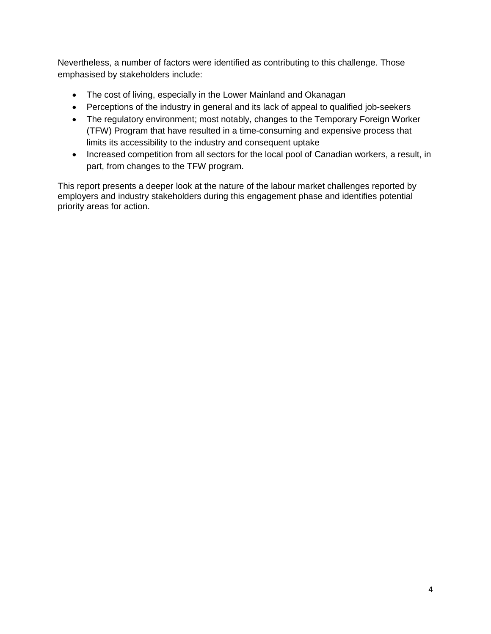Nevertheless, a number of factors were identified as contributing to this challenge. Those emphasised by stakeholders include:

- The cost of living, especially in the Lower Mainland and Okanagan
- Perceptions of the industry in general and its lack of appeal to qualified job-seekers
- The regulatory environment; most notably, changes to the Temporary Foreign Worker (TFW) Program that have resulted in a time-consuming and expensive process that limits its accessibility to the industry and consequent uptake
- Increased competition from all sectors for the local pool of Canadian workers, a result, in part, from changes to the TFW program.

This report presents a deeper look at the nature of the labour market challenges reported by employers and industry stakeholders during this engagement phase and identifies potential priority areas for action.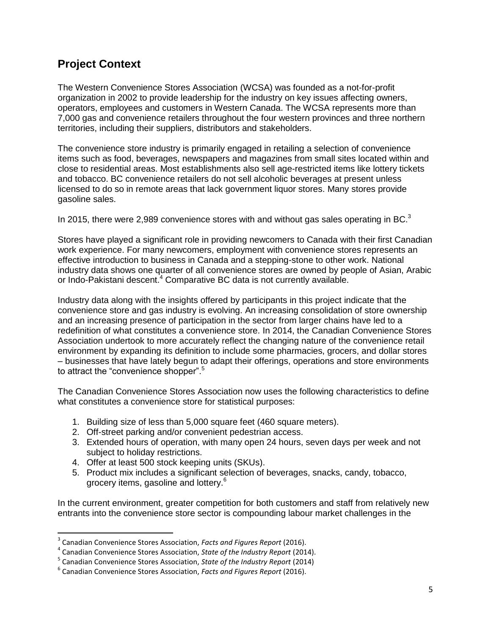# <span id="page-5-0"></span>**Project Context**

The Western Convenience Stores Association (WCSA) was founded as a not-for-profit organization in 2002 to provide leadership for the industry on key issues affecting owners, operators, employees and customers in Western Canada. The WCSA represents more than 7,000 gas and convenience retailers throughout the four western provinces and three northern territories, including their suppliers, distributors and stakeholders.

The convenience store industry is primarily engaged in retailing a selection of convenience items such as food, beverages, newspapers and magazines from small sites located within and close to residential areas. Most establishments also sell age-restricted items like lottery tickets and tobacco. BC convenience retailers do not sell alcoholic beverages at present unless licensed to do so in remote areas that lack government liquor stores. Many stores provide gasoline sales.

In 2015, there were 2,989 convenience stores with and without gas sales operating in BC. $^3$ 

Stores have played a significant role in providing newcomers to Canada with their first Canadian work experience. For many newcomers, employment with convenience stores represents an effective introduction to business in Canada and a stepping-stone to other work. National industry data shows one quarter of all convenience stores are owned by people of Asian, Arabic or Indo-Pakistani descent.<sup>4</sup> Comparative BC data is not currently available.

Industry data along with the insights offered by participants in this project indicate that the convenience store and gas industry is evolving. An increasing consolidation of store ownership and an increasing presence of participation in the sector from larger chains have led to a redefinition of what constitutes a convenience store. In 2014, the Canadian Convenience Stores Association undertook to more accurately reflect the changing nature of the convenience retail environment by expanding its definition to include some pharmacies, grocers, and dollar stores – businesses that have lately begun to adapt their offerings, operations and store environments to attract the "convenience shopper".<sup>5</sup>

The Canadian Convenience Stores Association now uses the following characteristics to define what constitutes a convenience store for statistical purposes:

- 1. Building size of less than 5,000 square feet (460 square meters).
- 2. Off-street parking and/or convenient pedestrian access.
- 3. Extended hours of operation, with many open 24 hours, seven days per week and not subject to holiday restrictions.
- 4. Offer at least 500 stock keeping units (SKUs).

 $\overline{a}$ 

5. Product mix includes a significant selection of beverages, snacks, candy, tobacco, grocery items, gasoline and lottery.<sup>6</sup>

In the current environment, greater competition for both customers and staff from relatively new entrants into the convenience store sector is compounding labour market challenges in the

<sup>3</sup> Canadian Convenience Stores Association, *Facts and Figures Report* (2016).

<sup>4</sup> Canadian Convenience Stores Association, *State of the Industry Report* (2014).

<sup>5</sup> Canadian Convenience Stores Association, *State of the Industry Report* (2014)

<sup>6</sup> Canadian Convenience Stores Association, *Facts and Figures Report* (2016).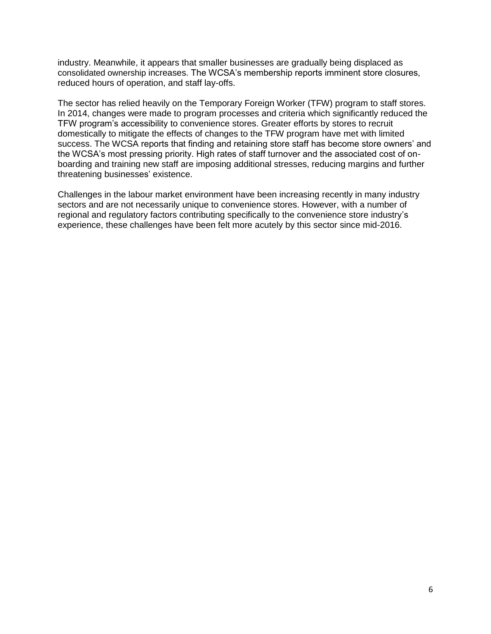industry. Meanwhile, it appears that smaller businesses are gradually being displaced as consolidated ownership increases. The WCSA's membership reports imminent store closures, reduced hours of operation, and staff lay-offs.

The sector has relied heavily on the Temporary Foreign Worker (TFW) program to staff stores. In 2014, changes were made to program processes and criteria which significantly reduced the TFW program's accessibility to convenience stores. Greater efforts by stores to recruit domestically to mitigate the effects of changes to the TFW program have met with limited success. The WCSA reports that finding and retaining store staff has become store owners' and the WCSA's most pressing priority. High rates of staff turnover and the associated cost of onboarding and training new staff are imposing additional stresses, reducing margins and further threatening businesses' existence.

Challenges in the labour market environment have been increasing recently in many industry sectors and are not necessarily unique to convenience stores. However, with a number of regional and regulatory factors contributing specifically to the convenience store industry's experience, these challenges have been felt more acutely by this sector since mid-2016.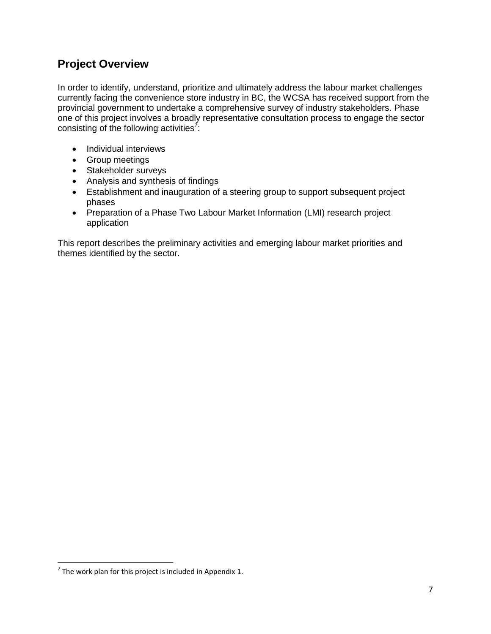# <span id="page-7-0"></span>**Project Overview**

In order to identify, understand, prioritize and ultimately address the labour market challenges currently facing the convenience store industry in BC, the WCSA has received support from the provincial government to undertake a comprehensive survey of industry stakeholders. Phase one of this project involves a broadly representative consultation process to engage the sector consisting of the following activities<sup>7</sup>:

- Individual interviews
- Group meetings
- Stakeholder surveys
- Analysis and synthesis of findings
- Establishment and inauguration of a steering group to support subsequent project phases
- Preparation of a Phase Two Labour Market Information (LMI) research project application

This report describes the preliminary activities and emerging labour market priorities and themes identified by the sector.

 $\overline{\phantom{a}}$ 

 $^7$  The work plan for this project is included in Appendix 1.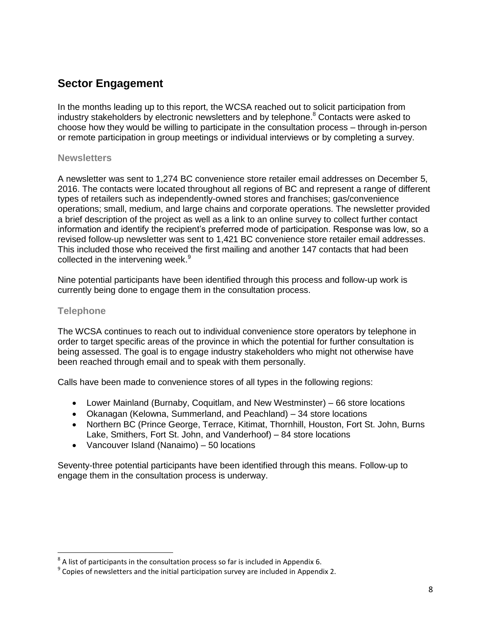# <span id="page-8-0"></span>**Sector Engagement**

In the months leading up to this report, the WCSA reached out to solicit participation from industry stakeholders by electronic newsletters and by telephone. <sup>8</sup> Contacts were asked to choose how they would be willing to participate in the consultation process – through in-person or remote participation in group meetings or individual interviews or by completing a survey.

#### **Newsletters**

A newsletter was sent to 1,274 BC convenience store retailer email addresses on December 5, 2016. The contacts were located throughout all regions of BC and represent a range of different types of retailers such as independently-owned stores and franchises; gas/convenience operations; small, medium, and large chains and corporate operations. The newsletter provided a brief description of the project as well as a link to an online survey to collect further contact information and identify the recipient's preferred mode of participation. Response was low, so a revised follow-up newsletter was sent to 1,421 BC convenience store retailer email addresses. This included those who received the first mailing and another 147 contacts that had been collected in the intervening week.<sup>9</sup>

Nine potential participants have been identified through this process and follow-up work is currently being done to engage them in the consultation process.

#### **Telephone**

l

The WCSA continues to reach out to individual convenience store operators by telephone in order to target specific areas of the province in which the potential for further consultation is being assessed. The goal is to engage industry stakeholders who might not otherwise have been reached through email and to speak with them personally.

Calls have been made to convenience stores of all types in the following regions:

- Lower Mainland (Burnaby, Coquitlam, and New Westminster) 66 store locations
- Okanagan (Kelowna, Summerland, and Peachland) 34 store locations
- Northern BC (Prince George, Terrace, Kitimat, Thornhill, Houston, Fort St. John, Burns Lake, Smithers, Fort St. John, and Vanderhoof) – 84 store locations
- Vancouver Island (Nanaimo) 50 locations

Seventy-three potential participants have been identified through this means. Follow-up to engage them in the consultation process is underway.

 $^8$  A list of participants in the consultation process so far is included in Appendix 6.

 $^9$  Copies of newsletters and the initial participation survey are included in Appendix 2.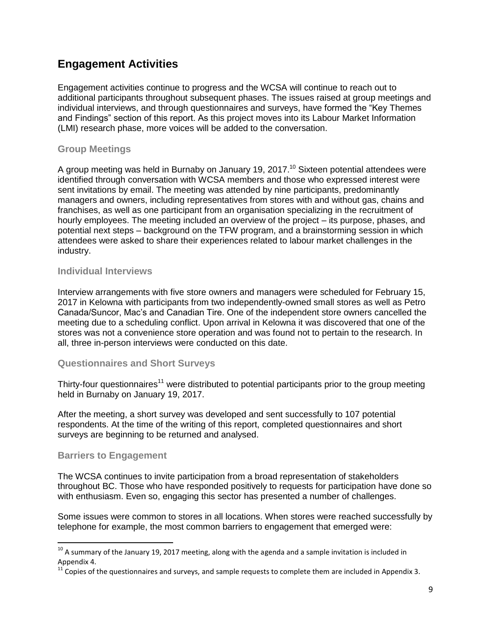# <span id="page-9-0"></span>**Engagement Activities**

Engagement activities continue to progress and the WCSA will continue to reach out to additional participants throughout subsequent phases. The issues raised at group meetings and individual interviews, and through questionnaires and surveys, have formed the "Key Themes and Findings" section of this report. As this project moves into its Labour Market Information (LMI) research phase, more voices will be added to the conversation.

## **Group Meetings**

A group meeting was held in Burnaby on January 19, 2017.<sup>10</sup> Sixteen potential attendees were identified through conversation with WCSA members and those who expressed interest were sent invitations by email. The meeting was attended by nine participants, predominantly managers and owners, including representatives from stores with and without gas, chains and franchises, as well as one participant from an organisation specializing in the recruitment of hourly employees. The meeting included an overview of the project – its purpose, phases, and potential next steps – background on the TFW program, and a brainstorming session in which attendees were asked to share their experiences related to labour market challenges in the industry.

#### **Individual Interviews**

Interview arrangements with five store owners and managers were scheduled for February 15, 2017 in Kelowna with participants from two independently-owned small stores as well as Petro Canada/Suncor, Mac's and Canadian Tire. One of the independent store owners cancelled the meeting due to a scheduling conflict. Upon arrival in Kelowna it was discovered that one of the stores was not a convenience store operation and was found not to pertain to the research. In all, three in-person interviews were conducted on this date.

#### **Questionnaires and Short Surveys**

Thirty-four questionnaires<sup>11</sup> were distributed to potential participants prior to the group meeting held in Burnaby on January 19, 2017.

After the meeting, a short survey was developed and sent successfully to 107 potential respondents. At the time of the writing of this report, completed questionnaires and short surveys are beginning to be returned and analysed.

#### **Barriers to Engagement**

 $\overline{\phantom{a}}$ 

The WCSA continues to invite participation from a broad representation of stakeholders throughout BC. Those who have responded positively to requests for participation have done so with enthusiasm. Even so, engaging this sector has presented a number of challenges.

Some issues were common to stores in all locations. When stores were reached successfully by telephone for example, the most common barriers to engagement that emerged were:

 $^{10}$  A summary of the January 19, 2017 meeting, along with the agenda and a sample invitation is included in Appendix 4.

 $11$  Copies of the questionnaires and surveys, and sample requests to complete them are included in Appendix 3.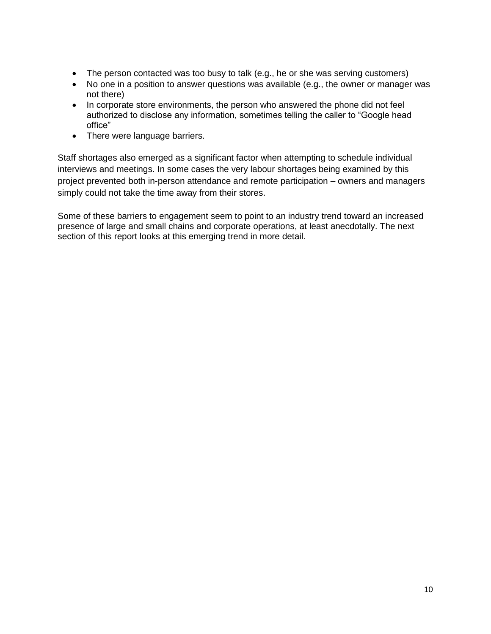- The person contacted was too busy to talk (e.g., he or she was serving customers)
- No one in a position to answer questions was available (e.g., the owner or manager was not there)
- In corporate store environments, the person who answered the phone did not feel authorized to disclose any information, sometimes telling the caller to "Google head office"
- There were language barriers.

Staff shortages also emerged as a significant factor when attempting to schedule individual interviews and meetings. In some cases the very labour shortages being examined by this project prevented both in-person attendance and remote participation – owners and managers simply could not take the time away from their stores.

Some of these barriers to engagement seem to point to an industry trend toward an increased presence of large and small chains and corporate operations, at least anecdotally. The next section of this report looks at this emerging trend in more detail.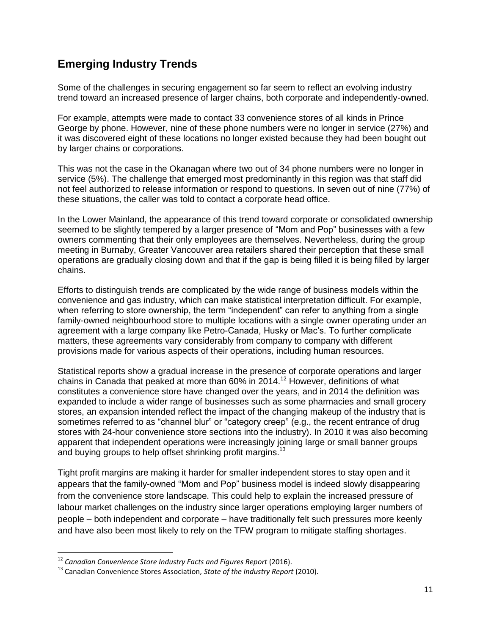# <span id="page-11-0"></span>**Emerging Industry Trends**

Some of the challenges in securing engagement so far seem to reflect an evolving industry trend toward an increased presence of larger chains, both corporate and independently-owned.

For example, attempts were made to contact 33 convenience stores of all kinds in Prince George by phone. However, nine of these phone numbers were no longer in service (27%) and it was discovered eight of these locations no longer existed because they had been bought out by larger chains or corporations.

This was not the case in the Okanagan where two out of 34 phone numbers were no longer in service (5%). The challenge that emerged most predominantly in this region was that staff did not feel authorized to release information or respond to questions. In seven out of nine (77%) of these situations, the caller was told to contact a corporate head office.

In the Lower Mainland, the appearance of this trend toward corporate or consolidated ownership seemed to be slightly tempered by a larger presence of "Mom and Pop" businesses with a few owners commenting that their only employees are themselves. Nevertheless, during the group meeting in Burnaby, Greater Vancouver area retailers shared their perception that these small operations are gradually closing down and that if the gap is being filled it is being filled by larger chains.

Efforts to distinguish trends are complicated by the wide range of business models within the convenience and gas industry, which can make statistical interpretation difficult. For example, when referring to store ownership, the term "independent" can refer to anything from a single family-owned neighbourhood store to multiple locations with a single owner operating under an agreement with a large company like Petro-Canada, Husky or Mac's. To further complicate matters, these agreements vary considerably from company to company with different provisions made for various aspects of their operations, including human resources.

Statistical reports show a gradual increase in the presence of corporate operations and larger chains in Canada that peaked at more than 60% in 2014. <sup>12</sup> However, definitions of what constitutes a convenience store have changed over the years, and in 2014 the definition was expanded to include a wider range of businesses such as some pharmacies and small grocery stores, an expansion intended reflect the impact of the changing makeup of the industry that is sometimes referred to as "channel blur" or "category creep" (e.g., the recent entrance of drug stores with 24-hour convenience store sections into the industry). In 2010 it was also becoming apparent that independent operations were increasingly joining large or small banner groups and buying groups to help offset shrinking profit margins.<sup>13</sup>

Tight profit margins are making it harder for smalIer independent stores to stay open and it appears that the family-owned "Mom and Pop" business model is indeed slowly disappearing from the convenience store landscape. This could help to explain the increased pressure of labour market challenges on the industry since larger operations employing larger numbers of people – both independent and corporate – have traditionally felt such pressures more keenly and have also been most likely to rely on the TFW program to mitigate staffing shortages.

l

<sup>12</sup> *Canadian Convenience Store Industry Facts and Figures Report* (2016).

<sup>13</sup> Canadian Convenience Stores Association, *State of the Industry Report* (2010).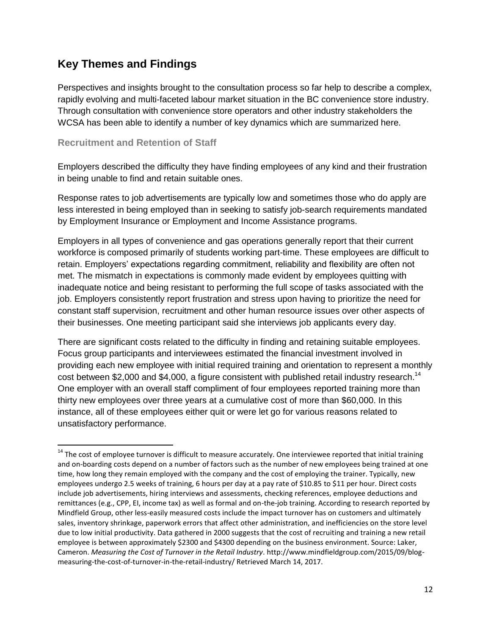# <span id="page-12-0"></span>**Key Themes and Findings**

Perspectives and insights brought to the consultation process so far help to describe a complex, rapidly evolving and multi-faceted labour market situation in the BC convenience store industry. Through consultation with convenience store operators and other industry stakeholders the WCSA has been able to identify a number of key dynamics which are summarized here.

#### **Recruitment and Retention of Staff**

 $\overline{a}$ 

Employers described the difficulty they have finding employees of any kind and their frustration in being unable to find and retain suitable ones.

Response rates to job advertisements are typically low and sometimes those who do apply are less interested in being employed than in seeking to satisfy job-search requirements mandated by Employment Insurance or Employment and Income Assistance programs.

Employers in all types of convenience and gas operations generally report that their current workforce is composed primarily of students working part-time. These employees are difficult to retain. Employers' expectations regarding commitment, reliability and flexibility are often not met. The mismatch in expectations is commonly made evident by employees quitting with inadequate notice and being resistant to performing the full scope of tasks associated with the job. Employers consistently report frustration and stress upon having to prioritize the need for constant staff supervision, recruitment and other human resource issues over other aspects of their businesses. One meeting participant said she interviews job applicants every day.

There are significant costs related to the difficulty in finding and retaining suitable employees. Focus group participants and interviewees estimated the financial investment involved in providing each new employee with initial required training and orientation to represent a monthly cost between \$2,000 and \$4,000, a figure consistent with published retail industry research.<sup>14</sup> One employer with an overall staff compliment of four employees reported training more than thirty new employees over three years at a cumulative cost of more than \$60,000. In this instance, all of these employees either quit or were let go for various reasons related to unsatisfactory performance.

<sup>&</sup>lt;sup>14</sup> The cost of employee turnover is difficult to measure accurately. One interviewee reported that initial training and on-boarding costs depend on a number of factors such as the number of new employees being trained at one time, how long they remain employed with the company and the cost of employing the trainer. Typically, new employees undergo 2.5 weeks of training, 6 hours per day at a pay rate of \$10.85 to \$11 per hour. Direct costs include job advertisements, hiring interviews and assessments, checking references, employee deductions and remittances (e.g., CPP, EI, income tax) as well as formal and on-the-job training. According to research reported by Mindfield Group, other less-easily measured costs include the impact turnover has on customers and ultimately sales, inventory shrinkage, paperwork errors that affect other administration, and inefficiencies on the store level due to low initial productivity. Data gathered in 2000 suggests that the cost of recruiting and training a new retail employee is between approximately \$2300 and \$4300 depending on the business environment. Source: Laker, Cameron. *Measuring the Cost of Turnover in the Retail Industry*. http://www.mindfieldgroup.com/2015/09/blogmeasuring-the-cost-of-turnover-in-the-retail-industry/ Retrieved March 14, 2017.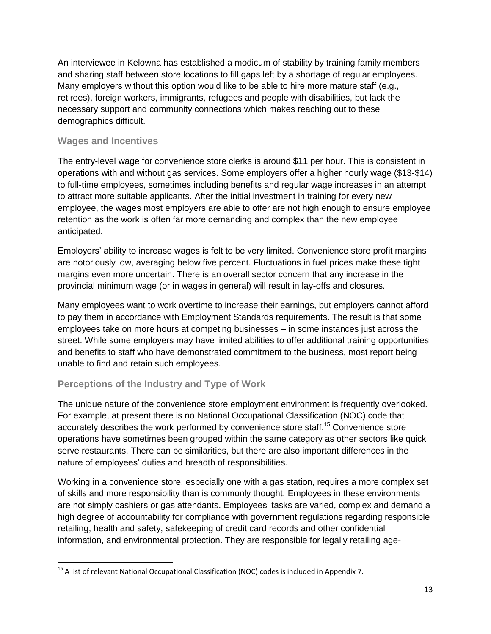An interviewee in Kelowna has established a modicum of stability by training family members and sharing staff between store locations to fill gaps left by a shortage of regular employees. Many employers without this option would like to be able to hire more mature staff (e.g., retirees), foreign workers, immigrants, refugees and people with disabilities, but lack the necessary support and community connections which makes reaching out to these demographics difficult.

# **Wages and Incentives**

The entry-level wage for convenience store clerks is around \$11 per hour. This is consistent in operations with and without gas services. Some employers offer a higher hourly wage (\$13-\$14) to full-time employees, sometimes including benefits and regular wage increases in an attempt to attract more suitable applicants. After the initial investment in training for every new employee, the wages most employers are able to offer are not high enough to ensure employee retention as the work is often far more demanding and complex than the new employee anticipated.

Employers' ability to increase wages is felt to be very limited. Convenience store profit margins are notoriously low, averaging below five percent. Fluctuations in fuel prices make these tight margins even more uncertain. There is an overall sector concern that any increase in the provincial minimum wage (or in wages in general) will result in lay-offs and closures.

Many employees want to work overtime to increase their earnings, but employers cannot afford to pay them in accordance with Employment Standards requirements. The result is that some employees take on more hours at competing businesses – in some instances just across the street. While some employers may have limited abilities to offer additional training opportunities and benefits to staff who have demonstrated commitment to the business, most report being unable to find and retain such employees.

# **Perceptions of the Industry and Type of Work**

The unique nature of the convenience store employment environment is frequently overlooked. For example, at present there is no National Occupational Classification (NOC) code that accurately describes the work performed by convenience store staff.<sup>15</sup> Convenience store operations have sometimes been grouped within the same category as other sectors like quick serve restaurants. There can be similarities, but there are also important differences in the nature of employees' duties and breadth of responsibilities.

Working in a convenience store, especially one with a gas station, requires a more complex set of skills and more responsibility than is commonly thought. Employees in these environments are not simply cashiers or gas attendants. Employees' tasks are varied, complex and demand a high degree of accountability for compliance with government regulations regarding responsible retailing, health and safety, safekeeping of credit card records and other confidential information, and environmental protection. They are responsible for legally retailing age-

 $\overline{\phantom{a}}$ <sup>15</sup> A list of relevant National Occupational Classification (NOC) codes is included in Appendix 7.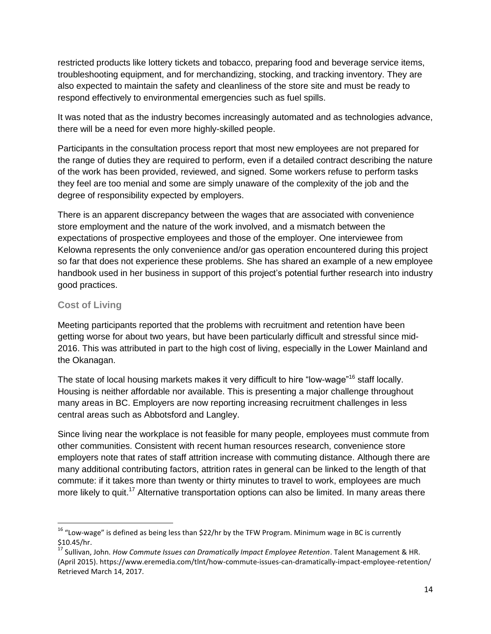restricted products like lottery tickets and tobacco, preparing food and beverage service items, troubleshooting equipment, and for merchandizing, stocking, and tracking inventory. They are also expected to maintain the safety and cleanliness of the store site and must be ready to respond effectively to environmental emergencies such as fuel spills.

It was noted that as the industry becomes increasingly automated and as technologies advance, there will be a need for even more highly-skilled people.

Participants in the consultation process report that most new employees are not prepared for the range of duties they are required to perform, even if a detailed contract describing the nature of the work has been provided, reviewed, and signed. Some workers refuse to perform tasks they feel are too menial and some are simply unaware of the complexity of the job and the degree of responsibility expected by employers.

There is an apparent discrepancy between the wages that are associated with convenience store employment and the nature of the work involved, and a mismatch between the expectations of prospective employees and those of the employer. One interviewee from Kelowna represents the only convenience and/or gas operation encountered during this project so far that does not experience these problems. She has shared an example of a new employee handbook used in her business in support of this project's potential further research into industry good practices.

## **Cost of Living**

l

Meeting participants reported that the problems with recruitment and retention have been getting worse for about two years, but have been particularly difficult and stressful since mid-2016. This was attributed in part to the high cost of living, especially in the Lower Mainland and the Okanagan.

The state of local housing markets makes it very difficult to hire "low-wage"<sup>16</sup> staff locally. Housing is neither affordable nor available. This is presenting a major challenge throughout many areas in BC. Employers are now reporting increasing recruitment challenges in less central areas such as Abbotsford and Langley.

Since living near the workplace is not feasible for many people, employees must commute from other communities. Consistent with recent human resources research, convenience store employers note that rates of staff attrition increase with commuting distance. Although there are many additional contributing factors, attrition rates in general can be linked to the length of that commute: if it takes more than twenty or thirty minutes to travel to work, employees are much more likely to quit.<sup>17</sup> Alternative transportation options can also be limited. In many areas there

 $16$  "Low-wage" is defined as being less than \$22/hr by the TFW Program. Minimum wage in BC is currently \$10.45/hr.

<sup>17</sup> Sullivan, John. *How Commute Issues can Dramatically Impact Employee Retention*. Talent Management & HR. (April 2015). https://www.eremedia.com/tlnt/how-commute-issues-can-dramatically-impact-employee-retention/ Retrieved March 14, 2017.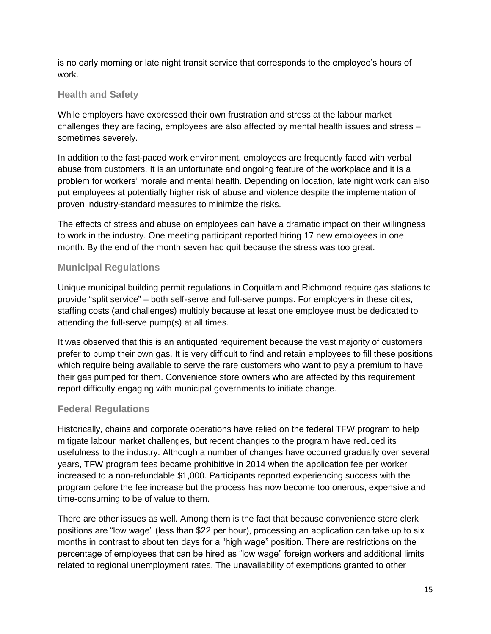is no early morning or late night transit service that corresponds to the employee's hours of work.

# **Health and Safety**

While employers have expressed their own frustration and stress at the labour market challenges they are facing, employees are also affected by mental health issues and stress – sometimes severely.

In addition to the fast-paced work environment, employees are frequently faced with verbal abuse from customers. It is an unfortunate and ongoing feature of the workplace and it is a problem for workers' morale and mental health. Depending on location, late night work can also put employees at potentially higher risk of abuse and violence despite the implementation of proven industry-standard measures to minimize the risks.

The effects of stress and abuse on employees can have a dramatic impact on their willingness to work in the industry. One meeting participant reported hiring 17 new employees in one month. By the end of the month seven had quit because the stress was too great.

# **Municipal Regulations**

Unique municipal building permit regulations in Coquitlam and Richmond require gas stations to provide "split service" – both self-serve and full-serve pumps. For employers in these cities, staffing costs (and challenges) multiply because at least one employee must be dedicated to attending the full-serve pump(s) at all times.

It was observed that this is an antiquated requirement because the vast majority of customers prefer to pump their own gas. It is very difficult to find and retain employees to fill these positions which require being available to serve the rare customers who want to pay a premium to have their gas pumped for them. Convenience store owners who are affected by this requirement report difficulty engaging with municipal governments to initiate change.

## **Federal Regulations**

Historically, chains and corporate operations have relied on the federal TFW program to help mitigate labour market challenges, but recent changes to the program have reduced its usefulness to the industry. Although a number of changes have occurred gradually over several years, TFW program fees became prohibitive in 2014 when the application fee per worker increased to a non-refundable \$1,000. Participants reported experiencing success with the program before the fee increase but the process has now become too onerous, expensive and time-consuming to be of value to them.

There are other issues as well. Among them is the fact that because convenience store clerk positions are "low wage" (less than \$22 per hour), processing an application can take up to six months in contrast to about ten days for a "high wage" position. There are restrictions on the percentage of employees that can be hired as "low wage" foreign workers and additional limits related to regional unemployment rates. The unavailability of exemptions granted to other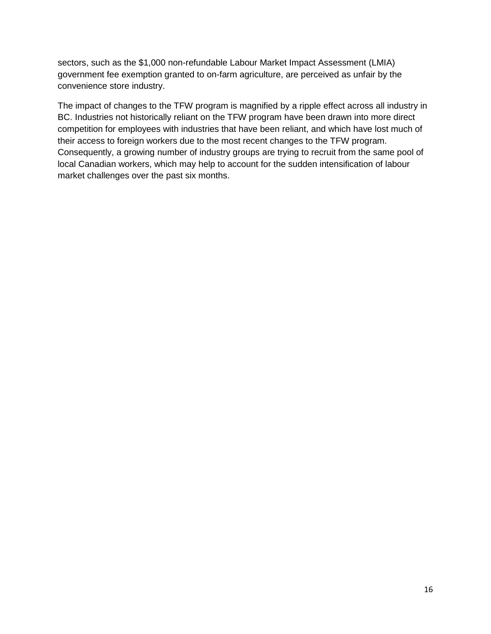sectors, such as the \$1,000 non-refundable Labour Market Impact Assessment (LMIA) government fee exemption granted to on-farm agriculture, are perceived as unfair by the convenience store industry.

The impact of changes to the TFW program is magnified by a ripple effect across all industry in BC. Industries not historically reliant on the TFW program have been drawn into more direct competition for employees with industries that have been reliant, and which have lost much of their access to foreign workers due to the most recent changes to the TFW program. Consequently, a growing number of industry groups are trying to recruit from the same pool of local Canadian workers, which may help to account for the sudden intensification of labour market challenges over the past six months.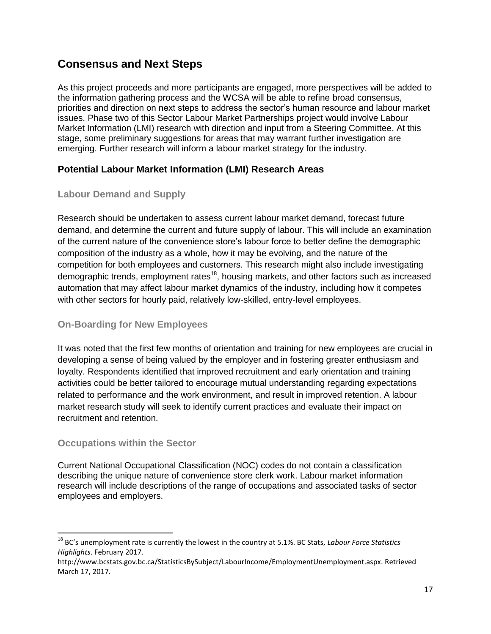# <span id="page-17-0"></span>**Consensus and Next Steps**

As this project proceeds and more participants are engaged, more perspectives will be added to the information gathering process and the WCSA will be able to refine broad consensus, priorities and direction on next steps to address the sector's human resource and labour market issues. Phase two of this Sector Labour Market Partnerships project would involve Labour Market Information (LMI) research with direction and input from a Steering Committee. At this stage, some preliminary suggestions for areas that may warrant further investigation are emerging. Further research will inform a labour market strategy for the industry.

# **Potential Labour Market Information (LMI) Research Areas**

# **Labour Demand and Supply**

Research should be undertaken to assess current labour market demand, forecast future demand, and determine the current and future supply of labour. This will include an examination of the current nature of the convenience store's labour force to better define the demographic composition of the industry as a whole, how it may be evolving, and the nature of the competition for both employees and customers. This research might also include investigating demographic trends, employment rates<sup>18</sup>, housing markets, and other factors such as increased automation that may affect labour market dynamics of the industry, including how it competes with other sectors for hourly paid, relatively low-skilled, entry-level employees.

## **On-Boarding for New Employees**

It was noted that the first few months of orientation and training for new employees are crucial in developing a sense of being valued by the employer and in fostering greater enthusiasm and loyalty. Respondents identified that improved recruitment and early orientation and training activities could be better tailored to encourage mutual understanding regarding expectations related to performance and the work environment, and result in improved retention. A labour market research study will seek to identify current practices and evaluate their impact on recruitment and retention.

## **Occupations within the Sector**

 $\overline{a}$ 

Current National Occupational Classification (NOC) codes do not contain a classification describing the unique nature of convenience store clerk work. Labour market information research will include descriptions of the range of occupations and associated tasks of sector employees and employers.

<sup>18</sup> BC's unemployment rate is currently the lowest in the country at 5.1%. BC Stats, *Labour Force Statistics Highlights*. February 2017.

http://www.bcstats.gov.bc.ca/StatisticsBySubject/LabourIncome/EmploymentUnemployment.aspx. Retrieved March 17, 2017.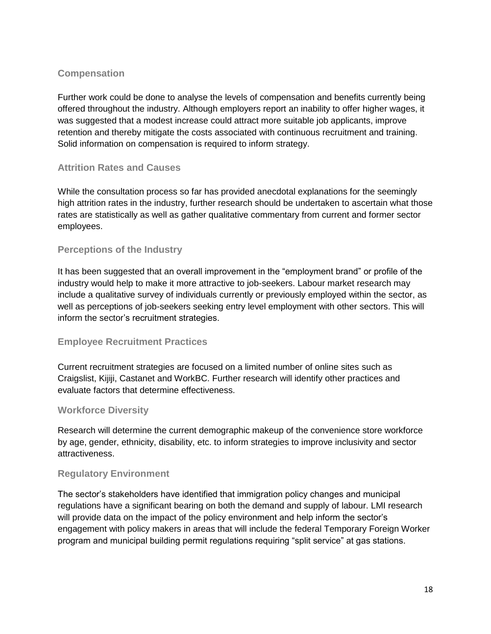# **Compensation**

Further work could be done to analyse the levels of compensation and benefits currently being offered throughout the industry. Although employers report an inability to offer higher wages, it was suggested that a modest increase could attract more suitable job applicants, improve retention and thereby mitigate the costs associated with continuous recruitment and training. Solid information on compensation is required to inform strategy.

# **Attrition Rates and Causes**

While the consultation process so far has provided anecdotal explanations for the seemingly high attrition rates in the industry, further research should be undertaken to ascertain what those rates are statistically as well as gather qualitative commentary from current and former sector employees.

## **Perceptions of the Industry**

It has been suggested that an overall improvement in the "employment brand" or profile of the industry would help to make it more attractive to job-seekers. Labour market research may include a qualitative survey of individuals currently or previously employed within the sector, as well as perceptions of job-seekers seeking entry level employment with other sectors. This will inform the sector's recruitment strategies.

## **Employee Recruitment Practices**

Current recruitment strategies are focused on a limited number of online sites such as Craigslist, Kijiji, Castanet and WorkBC. Further research will identify other practices and evaluate factors that determine effectiveness.

## **Workforce Diversity**

Research will determine the current demographic makeup of the convenience store workforce by age, gender, ethnicity, disability, etc. to inform strategies to improve inclusivity and sector attractiveness.

## **Regulatory Environment**

The sector's stakeholders have identified that immigration policy changes and municipal regulations have a significant bearing on both the demand and supply of labour. LMI research will provide data on the impact of the policy environment and help inform the sector's engagement with policy makers in areas that will include the federal Temporary Foreign Worker program and municipal building permit regulations requiring "split service" at gas stations.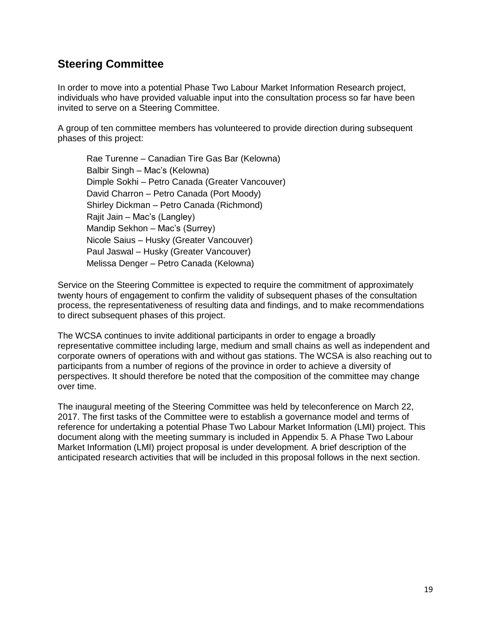# <span id="page-19-0"></span>**Steering Committee**

In order to move into a potential Phase Two Labour Market Information Research project, individuals who have provided valuable input into the consultation process so far have been invited to serve on a Steering Committee.

A group of ten committee members has volunteered to provide direction during subsequent phases of this project:

Rae Turenne – Canadian Tire Gas Bar (Kelowna) Balbir Singh – Mac's (Kelowna) Dimple Sokhi – Petro Canada (Greater Vancouver) David Charron – Petro Canada (Port Moody) Shirley Dickman – Petro Canada (Richmond) Rajit Jain – Mac's (Langley) Mandip Sekhon – Mac's (Surrey) Nicole Saius – Husky (Greater Vancouver) Paul Jaswal – Husky (Greater Vancouver) Melissa Denger – Petro Canada (Kelowna)

Service on the Steering Committee is expected to require the commitment of approximately twenty hours of engagement to confirm the validity of subsequent phases of the consultation process, the representativeness of resulting data and findings, and to make recommendations to direct subsequent phases of this project.

The WCSA continues to invite additional participants in order to engage a broadly representative committee including large, medium and small chains as well as independent and corporate owners of operations with and without gas stations. The WCSA is also reaching out to participants from a number of regions of the province in order to achieve a diversity of perspectives. It should therefore be noted that the composition of the committee may change over time.

The inaugural meeting of the Steering Committee was held by teleconference on March 22, 2017. The first tasks of the Committee were to establish a governance model and terms of reference for undertaking a potential Phase Two Labour Market Information (LMI) project. This document along with the meeting summary is included in Appendix 5. A Phase Two Labour Market Information (LMI) project proposal is under development. A brief description of the anticipated research activities that will be included in this proposal follows in the next section.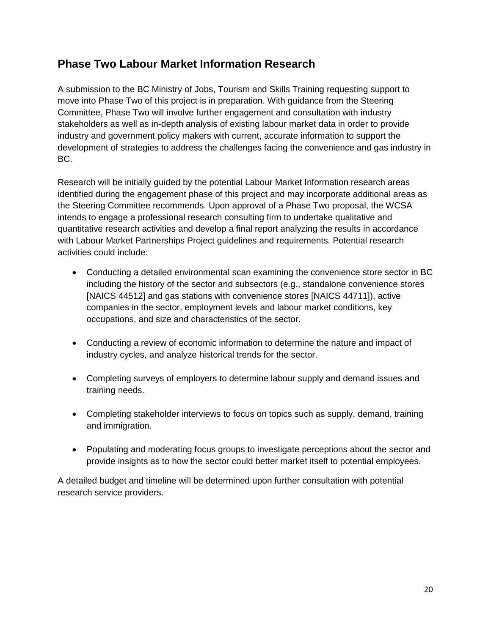# <span id="page-20-0"></span>**Phase Two Labour Market Information Research**

A submission to the BC Ministry of Jobs, Tourism and Skills Training requesting support to move into Phase Two of this project is in preparation. With guidance from the Steering Committee, Phase Two will involve further engagement and consultation with industry stakeholders as well as in-depth analysis of existing labour market data in order to provide industry and government policy makers with current, accurate information to support the development of strategies to address the challenges facing the convenience and gas industry in BC.

Research will be initially guided by the potential Labour Market Information research areas identified during the engagement phase of this project and may incorporate additional areas as the Steering Committee recommends. Upon approval of a Phase Two proposal, the WCSA intends to engage a professional research consulting firm to undertake qualitative and quantitative research activities and develop a final report analyzing the results in accordance with Labour Market Partnerships Project guidelines and requirements. Potential research activities could include:

- Conducting a detailed environmental scan examining the convenience store sector in BC including the history of the sector and subsectors (e.g., standalone convenience stores [NAICS 44512] and gas stations with convenience stores [NAICS 44711]), active companies in the sector, employment levels and labour market conditions, key occupations, and size and characteristics of the sector.
- Conducting a review of economic information to determine the nature and impact of industry cycles, and analyze historical trends for the sector.
- Completing surveys of employers to determine labour supply and demand issues and training needs.
- Completing stakeholder interviews to focus on topics such as supply, demand, training and immigration.
- Populating and moderating focus groups to investigate perceptions about the sector and provide insights as to how the sector could better market itself to potential employees.

A detailed budget and timeline will be determined upon further consultation with potential research service providers.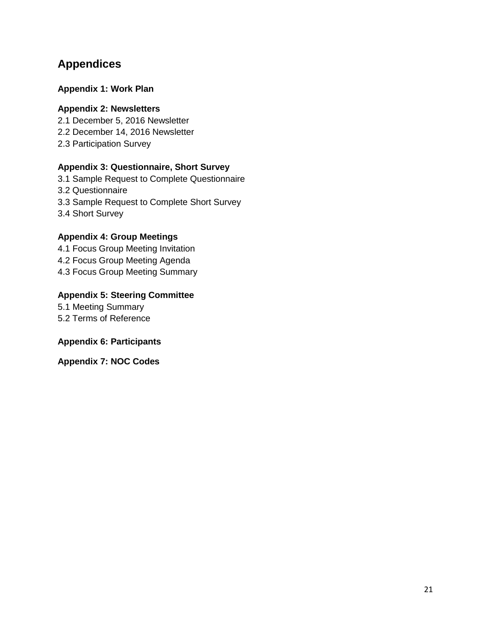# <span id="page-21-0"></span>**Appendices**

## **Appendix 1: Work Plan**

#### **Appendix 2: Newsletters**

2.1 December 5, 2016 Newsletter

2.2 December 14, 2016 Newsletter

2.3 Participation Survey

## **Appendix 3: Questionnaire, Short Survey**

3.1 Sample Request to Complete Questionnaire 3.2 Questionnaire 3.3 Sample Request to Complete Short Survey 3.4 Short Survey

## **Appendix 4: Group Meetings**

4.1 Focus Group Meeting Invitation 4.2 Focus Group Meeting Agenda 4.3 Focus Group Meeting Summary

# **Appendix 5: Steering Committee**

5.1 Meeting Summary 5.2 Terms of Reference

## **Appendix 6: Participants**

**Appendix 7: NOC Codes**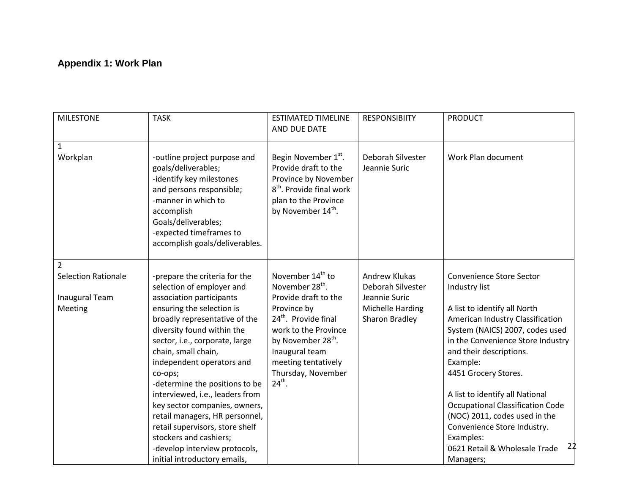# **Appendix 1: Work Plan**

| <b>MILESTONE</b>                                                    | <b>TASK</b>                                                                                                                                                                                                                                                                                                                                                                                                                                                                                                                                               | <b>ESTIMATED TIMELINE</b><br>AND DUE DATE                                                                                                                                                                                                                                   | <b>RESPONSIBIITY</b>                                                                      | <b>PRODUCT</b>                                                                                                                                                                                                                                                                                                                                                                                                                                                             |
|---------------------------------------------------------------------|-----------------------------------------------------------------------------------------------------------------------------------------------------------------------------------------------------------------------------------------------------------------------------------------------------------------------------------------------------------------------------------------------------------------------------------------------------------------------------------------------------------------------------------------------------------|-----------------------------------------------------------------------------------------------------------------------------------------------------------------------------------------------------------------------------------------------------------------------------|-------------------------------------------------------------------------------------------|----------------------------------------------------------------------------------------------------------------------------------------------------------------------------------------------------------------------------------------------------------------------------------------------------------------------------------------------------------------------------------------------------------------------------------------------------------------------------|
| 1<br>Workplan                                                       | -outline project purpose and<br>goals/deliverables;<br>-identify key milestones<br>and persons responsible;<br>-manner in which to<br>accomplish<br>Goals/deliverables;<br>-expected timeframes to<br>accomplish goals/deliverables.                                                                                                                                                                                                                                                                                                                      | Begin November 1 <sup>st</sup> .<br>Provide draft to the<br>Province by November<br>8 <sup>th</sup> , Provide final work<br>plan to the Province<br>by November 14 <sup>th</sup> .                                                                                          | Deborah Silvester<br>Jeannie Suric                                                        | Work Plan document                                                                                                                                                                                                                                                                                                                                                                                                                                                         |
| 2<br><b>Selection Rationale</b><br><b>Inaugural Team</b><br>Meeting | -prepare the criteria for the<br>selection of employer and<br>association participants<br>ensuring the selection is<br>broadly representative of the<br>diversity found within the<br>sector, i.e., corporate, large<br>chain, small chain,<br>independent operators and<br>co-ops;<br>-determine the positions to be<br>interviewed, i.e., leaders from<br>key sector companies, owners,<br>retail managers, HR personnel,<br>retail supervisors, store shelf<br>stockers and cashiers;<br>-develop interview protocols,<br>initial introductory emails, | November 14 <sup>th</sup> to<br>November 28 <sup>th</sup> .<br>Provide draft to the<br>Province by<br>24 <sup>th</sup> . Provide final<br>work to the Province<br>by November 28 <sup>th</sup> .<br>Inaugural team<br>meeting tentatively<br>Thursday, November<br>$24th$ . | Andrew Klukas<br>Deborah Silvester<br>Jeannie Suric<br>Michelle Harding<br>Sharon Bradley | <b>Convenience Store Sector</b><br>Industry list<br>A list to identify all North<br>American Industry Classification<br>System (NAICS) 2007, codes used<br>in the Convenience Store Industry<br>and their descriptions.<br>Example:<br>4451 Grocery Stores.<br>A list to identify all National<br><b>Occupational Classification Code</b><br>(NOC) 2011, codes used in the<br>Convenience Store Industry.<br>Examples:<br>22<br>0621 Retail & Wholesale Trade<br>Managers; |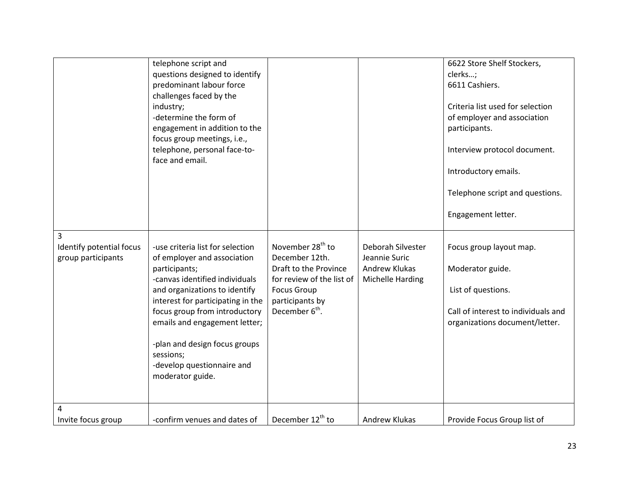|                                                     | telephone script and<br>questions designed to identify<br>predominant labour force<br>challenges faced by the<br>industry;<br>-determine the form of<br>engagement in addition to the<br>focus group meetings, i.e.,<br>telephone, personal face-to-<br>face and email.                                                                                    |                                                                                                                                                                             |                                                                                | 6622 Store Shelf Stockers,<br>clerks;<br>6611 Cashiers.<br>Criteria list used for selection<br>of employer and association<br>participants.<br>Interview protocol document.<br>Introductory emails.<br>Telephone script and questions.<br>Engagement letter. |
|-----------------------------------------------------|------------------------------------------------------------------------------------------------------------------------------------------------------------------------------------------------------------------------------------------------------------------------------------------------------------------------------------------------------------|-----------------------------------------------------------------------------------------------------------------------------------------------------------------------------|--------------------------------------------------------------------------------|--------------------------------------------------------------------------------------------------------------------------------------------------------------------------------------------------------------------------------------------------------------|
| 3<br>Identify potential focus<br>group participants | -use criteria list for selection<br>of employer and association<br>participants;<br>-canvas identified individuals<br>and organizations to identify<br>interest for participating in the<br>focus group from introductory<br>emails and engagement letter;<br>-plan and design focus groups<br>sessions;<br>-develop questionnaire and<br>moderator guide. | November 28 <sup>th</sup> to<br>December 12th.<br>Draft to the Province<br>for review of the list of<br><b>Focus Group</b><br>participants by<br>December 6 <sup>th</sup> . | Deborah Silvester<br>Jeannie Suric<br><b>Andrew Klukas</b><br>Michelle Harding | Focus group layout map.<br>Moderator guide.<br>List of questions.<br>Call of interest to individuals and<br>organizations document/letter.                                                                                                                   |
| 4<br>Invite focus group                             | -confirm venues and dates of                                                                                                                                                                                                                                                                                                                               | December 12 <sup>th</sup> to                                                                                                                                                | <b>Andrew Klukas</b>                                                           | Provide Focus Group list of                                                                                                                                                                                                                                  |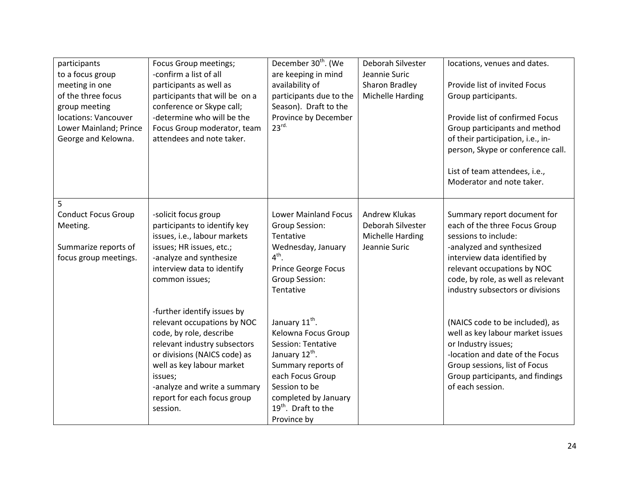| participants<br>to a focus group<br>meeting in one<br>of the three focus<br>group meeting<br>locations: Vancouver<br>Lower Mainland; Prince<br>George and Kelowna. | Focus Group meetings;<br>-confirm a list of all<br>participants as well as<br>participants that will be on a<br>conference or Skype call;<br>-determine who will be the<br>Focus Group moderator, team<br>attendees and note taker.                                      | December 30 <sup>th</sup> . (We<br>are keeping in mind<br>availability of<br>participants due to the<br>Season). Draft to the<br>Province by December<br>23 <sup>rd</sup>                                                                  | Deborah Silvester<br>Jeannie Suric<br>Sharon Bradley<br>Michelle Harding       | locations, venues and dates.<br>Provide list of invited Focus<br>Group participants.<br>Provide list of confirmed Focus<br>Group participants and method<br>of their participation, i.e., in-<br>person, Skype or conference call.<br>List of team attendees, i.e.,<br>Moderator and note taker. |
|--------------------------------------------------------------------------------------------------------------------------------------------------------------------|--------------------------------------------------------------------------------------------------------------------------------------------------------------------------------------------------------------------------------------------------------------------------|--------------------------------------------------------------------------------------------------------------------------------------------------------------------------------------------------------------------------------------------|--------------------------------------------------------------------------------|--------------------------------------------------------------------------------------------------------------------------------------------------------------------------------------------------------------------------------------------------------------------------------------------------|
| 5<br><b>Conduct Focus Group</b><br>Meeting.<br>Summarize reports of<br>focus group meetings.                                                                       | -solicit focus group<br>participants to identify key<br>issues, i.e., labour markets<br>issues; HR issues, etc.;<br>-analyze and synthesize<br>interview data to identify<br>common issues;                                                                              | <b>Lower Mainland Focus</b><br>Group Session:<br>Tentative<br>Wednesday, January<br>$4^{\text{th}}$ .<br><b>Prince George Focus</b><br>Group Session:<br>Tentative                                                                         | <b>Andrew Klukas</b><br>Deborah Silvester<br>Michelle Harding<br>Jeannie Suric | Summary report document for<br>each of the three Focus Group<br>sessions to include:<br>-analyzed and synthesized<br>interview data identified by<br>relevant occupations by NOC<br>code, by role, as well as relevant<br>industry subsectors or divisions                                       |
|                                                                                                                                                                    | -further identify issues by<br>relevant occupations by NOC<br>code, by role, describe<br>relevant industry subsectors<br>or divisions (NAICS code) as<br>well as key labour market<br>issues;<br>-analyze and write a summary<br>report for each focus group<br>session. | January 11 <sup>th</sup> .<br>Kelowna Focus Group<br>Session: Tentative<br>January 12 <sup>th</sup> .<br>Summary reports of<br>each Focus Group<br>Session to be<br>completed by January<br>19 <sup>th</sup> . Draft to the<br>Province by |                                                                                | (NAICS code to be included), as<br>well as key labour market issues<br>or Industry issues;<br>-location and date of the Focus<br>Group sessions, list of Focus<br>Group participants, and findings<br>of each session.                                                                           |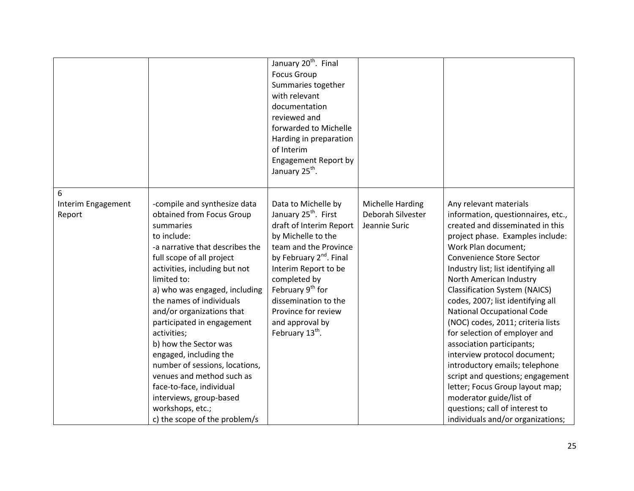|                                   |                                                                                                                                                                                                                                                                                                                                                                                                                                                                                                                                                                            | January 20 <sup>th</sup> . Final<br><b>Focus Group</b><br>Summaries together<br>with relevant<br>documentation<br>reviewed and<br>forwarded to Michelle<br>Harding in preparation<br>of Interim<br><b>Engagement Report by</b><br>January 25 <sup>th</sup> .                                                                                      |                                                        |                                                                                                                                                                                                                                                                                                                                                                                                                                                                                                                                                                                                                                                                                                                           |
|-----------------------------------|----------------------------------------------------------------------------------------------------------------------------------------------------------------------------------------------------------------------------------------------------------------------------------------------------------------------------------------------------------------------------------------------------------------------------------------------------------------------------------------------------------------------------------------------------------------------------|---------------------------------------------------------------------------------------------------------------------------------------------------------------------------------------------------------------------------------------------------------------------------------------------------------------------------------------------------|--------------------------------------------------------|---------------------------------------------------------------------------------------------------------------------------------------------------------------------------------------------------------------------------------------------------------------------------------------------------------------------------------------------------------------------------------------------------------------------------------------------------------------------------------------------------------------------------------------------------------------------------------------------------------------------------------------------------------------------------------------------------------------------------|
| 6<br>Interim Engagement<br>Report | -compile and synthesize data<br>obtained from Focus Group<br>summaries<br>to include:<br>-a narrative that describes the<br>full scope of all project<br>activities, including but not<br>limited to:<br>a) who was engaged, including<br>the names of individuals<br>and/or organizations that<br>participated in engagement<br>activities;<br>b) how the Sector was<br>engaged, including the<br>number of sessions, locations,<br>venues and method such as<br>face-to-face, individual<br>interviews, group-based<br>workshops, etc.;<br>c) the scope of the problem/s | Data to Michelle by<br>January 25 <sup>th</sup> . First<br>draft of Interim Report<br>by Michelle to the<br>team and the Province<br>by February 2 <sup>nd</sup> . Final<br>Interim Report to be<br>completed by<br>February 9 <sup>th</sup> for<br>dissemination to the<br>Province for review<br>and approval by<br>February 13 <sup>th</sup> . | Michelle Harding<br>Deborah Silvester<br>Jeannie Suric | Any relevant materials<br>information, questionnaires, etc.,<br>created and disseminated in this<br>project phase. Examples include:<br>Work Plan document;<br>Convenience Store Sector<br>Industry list; list identifying all<br>North American Industry<br><b>Classification System (NAICS)</b><br>codes, 2007; list identifying all<br><b>National Occupational Code</b><br>(NOC) codes, 2011; criteria lists<br>for selection of employer and<br>association participants;<br>interview protocol document;<br>introductory emails; telephone<br>script and questions; engagement<br>letter; Focus Group layout map;<br>moderator guide/list of<br>questions; call of interest to<br>individuals and/or organizations; |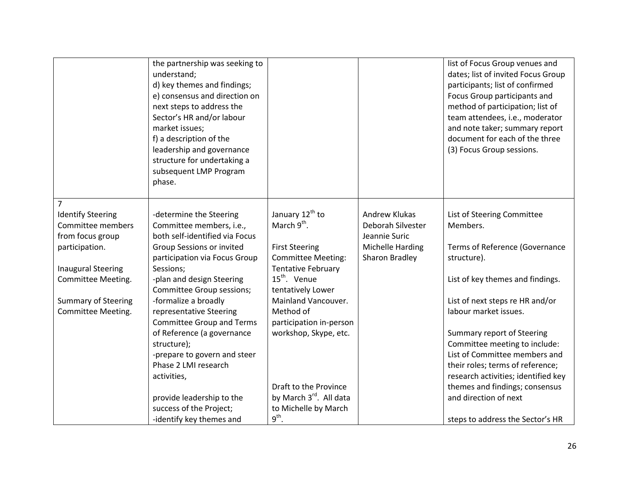|                                                                                                                                                                                                              | the partnership was seeking to<br>understand;<br>d) key themes and findings;<br>e) consensus and direction on<br>next steps to address the<br>Sector's HR and/or labour<br>market issues;<br>f) a description of the<br>leadership and governance<br>structure for undertaking a<br>subsequent LMP Program<br>phase. |                                                                                                                                                                                                                                                           |                                                                                                  | list of Focus Group venues and<br>dates; list of invited Focus Group<br>participants; list of confirmed<br>Focus Group participants and<br>method of participation; list of<br>team attendees, i.e., moderator<br>and note taker; summary report<br>document for each of the three<br>(3) Focus Group sessions. |
|--------------------------------------------------------------------------------------------------------------------------------------------------------------------------------------------------------------|----------------------------------------------------------------------------------------------------------------------------------------------------------------------------------------------------------------------------------------------------------------------------------------------------------------------|-----------------------------------------------------------------------------------------------------------------------------------------------------------------------------------------------------------------------------------------------------------|--------------------------------------------------------------------------------------------------|-----------------------------------------------------------------------------------------------------------------------------------------------------------------------------------------------------------------------------------------------------------------------------------------------------------------|
| $\overline{7}$<br><b>Identify Steering</b><br>Committee members<br>from focus group<br>participation.<br><b>Inaugural Steering</b><br>Committee Meeting.<br><b>Summary of Steering</b><br>Committee Meeting. | -determine the Steering<br>Committee members, i.e.,<br>both self-identified via Focus<br>Group Sessions or invited<br>participation via Focus Group<br>Sessions;<br>-plan and design Steering<br>Committee Group sessions;<br>-formalize a broadly<br>representative Steering<br><b>Committee Group and Terms</b>    | January 12 <sup>th</sup> to<br>March 9 <sup>th</sup> .<br><b>First Steering</b><br><b>Committee Meeting:</b><br><b>Tentative February</b><br>15 <sup>th</sup> . Venue<br>tentatively Lower<br>Mainland Vancouver.<br>Method of<br>participation in-person | Andrew Klukas<br>Deborah Silvester<br>Jeannie Suric<br><b>Michelle Harding</b><br>Sharon Bradley | List of Steering Committee<br>Members.<br>Terms of Reference (Governance<br>structure).<br>List of key themes and findings.<br>List of next steps re HR and/or<br>labour market issues.                                                                                                                         |
|                                                                                                                                                                                                              | of Reference (a governance<br>structure);<br>-prepare to govern and steer<br>Phase 2 LMI research<br>activities,<br>provide leadership to the<br>success of the Project;<br>-identify key themes and                                                                                                                 | workshop, Skype, etc.<br>Draft to the Province<br>by March 3rd. All data<br>to Michelle by March<br>$9^{\text{th}}$ .                                                                                                                                     |                                                                                                  | Summary report of Steering<br>Committee meeting to include:<br>List of Committee members and<br>their roles; terms of reference;<br>research activities; identified key<br>themes and findings; consensus<br>and direction of next<br>steps to address the Sector's HR                                          |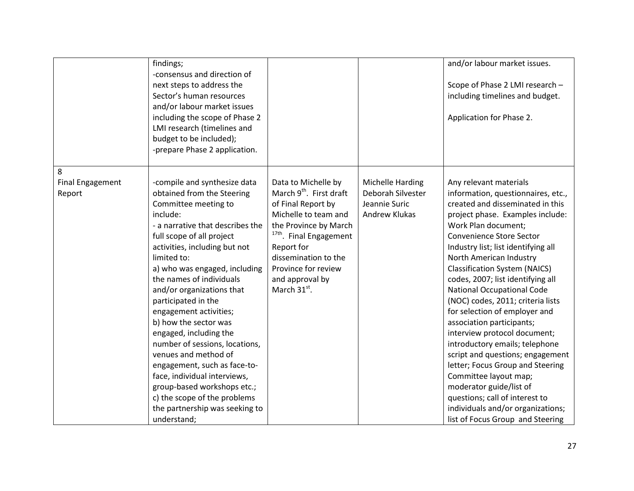|                                        | findings;<br>-consensus and direction of<br>next steps to address the<br>Sector's human resources<br>and/or labour market issues<br>including the scope of Phase 2<br>LMI research (timelines and<br>budget to be included);<br>-prepare Phase 2 application.                                                                                                                                                                                                                                                                                                                                                                                           |                                                                                                                                                                                                                                                                              |                                                                         | and/or labour market issues.<br>Scope of Phase 2 LMI research -<br>including timelines and budget.<br>Application for Phase 2.                                                                                                                                                                                                                                                                                                                                                                                                                                                                                                                                                                                                                                                          |
|----------------------------------------|---------------------------------------------------------------------------------------------------------------------------------------------------------------------------------------------------------------------------------------------------------------------------------------------------------------------------------------------------------------------------------------------------------------------------------------------------------------------------------------------------------------------------------------------------------------------------------------------------------------------------------------------------------|------------------------------------------------------------------------------------------------------------------------------------------------------------------------------------------------------------------------------------------------------------------------------|-------------------------------------------------------------------------|-----------------------------------------------------------------------------------------------------------------------------------------------------------------------------------------------------------------------------------------------------------------------------------------------------------------------------------------------------------------------------------------------------------------------------------------------------------------------------------------------------------------------------------------------------------------------------------------------------------------------------------------------------------------------------------------------------------------------------------------------------------------------------------------|
| 8<br><b>Final Engagement</b><br>Report | -compile and synthesize data<br>obtained from the Steering<br>Committee meeting to<br>include:<br>- a narrative that describes the<br>full scope of all project<br>activities, including but not<br>limited to:<br>a) who was engaged, including<br>the names of individuals<br>and/or organizations that<br>participated in the<br>engagement activities;<br>b) how the sector was<br>engaged, including the<br>number of sessions, locations,<br>venues and method of<br>engagement, such as face-to-<br>face, individual interviews,<br>group-based workshops etc.;<br>c) the scope of the problems<br>the partnership was seeking to<br>understand; | Data to Michelle by<br>March 9 <sup>th</sup> . First draft<br>of Final Report by<br>Michelle to team and<br>the Province by March<br><sup>17th</sup> . Final Engagement<br>Report for<br>dissemination to the<br>Province for review<br>and approval by<br>March $31^{st}$ . | Michelle Harding<br>Deborah Silvester<br>Jeannie Suric<br>Andrew Klukas | Any relevant materials<br>information, questionnaires, etc.,<br>created and disseminated in this<br>project phase. Examples include:<br>Work Plan document;<br>Convenience Store Sector<br>Industry list; list identifying all<br>North American Industry<br><b>Classification System (NAICS)</b><br>codes, 2007; list identifying all<br><b>National Occupational Code</b><br>(NOC) codes, 2011; criteria lists<br>for selection of employer and<br>association participants;<br>interview protocol document;<br>introductory emails; telephone<br>script and questions; engagement<br>letter; Focus Group and Steering<br>Committee layout map;<br>moderator guide/list of<br>questions; call of interest to<br>individuals and/or organizations;<br>list of Focus Group and Steering |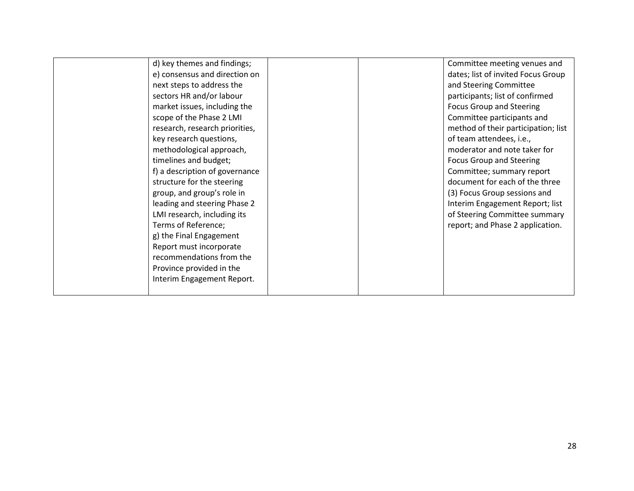| d) key themes and findings;    |  | Committee meeting venues and        |
|--------------------------------|--|-------------------------------------|
| e) consensus and direction on  |  | dates; list of invited Focus Group  |
| next steps to address the      |  | and Steering Committee              |
| sectors HR and/or labour       |  | participants; list of confirmed     |
| market issues, including the   |  | <b>Focus Group and Steering</b>     |
| scope of the Phase 2 LMI       |  | Committee participants and          |
| research, research priorities, |  | method of their participation; list |
| key research questions,        |  | of team attendees, i.e.,            |
| methodological approach,       |  | moderator and note taker for        |
| timelines and budget;          |  | <b>Focus Group and Steering</b>     |
| f) a description of governance |  | Committee; summary report           |
| structure for the steering     |  | document for each of the three      |
| group, and group's role in     |  | (3) Focus Group sessions and        |
| leading and steering Phase 2   |  | Interim Engagement Report; list     |
| LMI research, including its    |  | of Steering Committee summary       |
| Terms of Reference;            |  | report; and Phase 2 application.    |
| g) the Final Engagement        |  |                                     |
| Report must incorporate        |  |                                     |
| recommendations from the       |  |                                     |
| Province provided in the       |  |                                     |
| Interim Engagement Report.     |  |                                     |
|                                |  |                                     |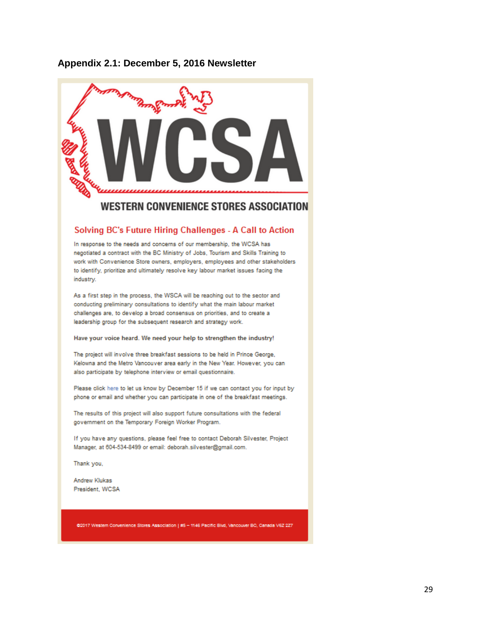#### **Appendix 2.1: December 5, 2016 Newsletter**



# **WESTERN CONVENIENCE STORES ASSOCIATION**

#### Solving BC's Future Hiring Challenges - A Call to Action

In response to the needs and concerns of our membership, the WCSA has negotiated a contract with the BC Ministry of Jobs, Tourism and Skills Training to work with Convenience Store owners, employers, employees and other stakeholders to identify, prioritize and ultimately resolve key labour market issues facing the industry.

As a first step in the process, the WSCA will be reaching out to the sector and conducting preliminary consultations to identify what the main labour market challenges are, to develop a broad consensus on priorities, and to create a leadership group for the subsequent research and strategy work.

#### Have your voice heard. We need your help to strengthen the industry!

The project will involve three breakfast sessions to be held in Prince George, Kelowna and the Metro Vancouver area early in the New Year. However, you can also participate by telephone interview or email questionnaire.

Please click here to let us know by December 15 if we can contact you for input by phone or email and whether you can participate in one of the breakfast meetings.

The results of this project will also support future consultations with the federal government on the Temporary Foreign Worker Program.

If you have any questions, please feel free to contact Deborah Silvester, Project Manager, at 604-534-8499 or email: deborah.silvester@gmail.com.

Thank you,

Andrew Klukas President, WCSA

@2017 Western Convenience Stores Association | #5 - 1146 Pacific Blvd, Vancouver BC, Canada V6Z 227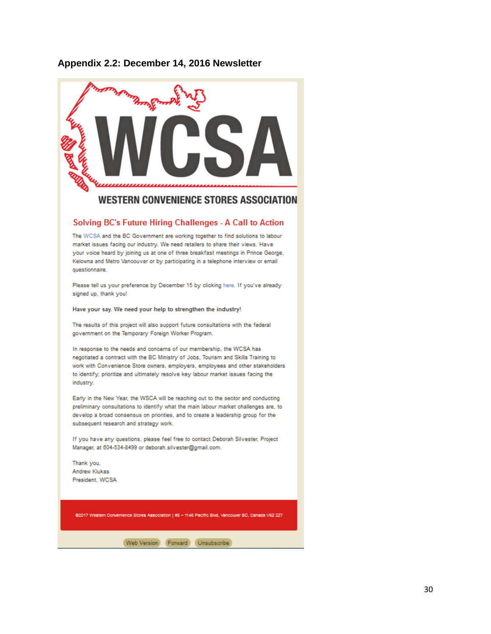## **Appendix 2.2: December 14, 2016 Newsletter**



# Solving BC's Future Hiring Challenges - A Call to Action

The WCSA and the BC Government are working together to find solutions to labour market issues facing our industry. We need retailers to share their views. Have your voice heard by joining us at one of three breakfast meetings in Prince George, Kelowna and Metro Vancouver or by participating in a telephone interview or email questionnaire.

Please tell us your preference by December 15 by clicking here. If you've already signed up, thank you!

Have your say. We need your help to strengthen the industry!

The results of this project will also support future consultations with the federal government on the Temporary Foreign Worker Program.

In response to the needs and concerns of our membership, the WCSA has negotiated a contract with the BC Ministry of Jobs, Tourism and Skills Training to work with Convenience Store owners, employers, employees and other stakeholders to identify, prioritize and ultimately resolve key labour market issues facing the industry.

Early in the New Year, the WSCA will be reaching out to the sector and conducting preliminary consultations to identify what the main labour market challenges are, to develop a broad consensus on priorities, and to create a leadership group for the subsequent research and strategy work.

If you have any questions, please feel free to contact Deborah Silvester, Project Manager, at 604-534-8499 or deborah.silvester@gmail.com.

Thank you, Andrew Klukas President, WCSA

@2017 Western Convenience Stores Association | #5 - 1146 Pacific Blvd, Vancouver BC, Canada V62 227

(Web Version) (Forward | Unsubscribe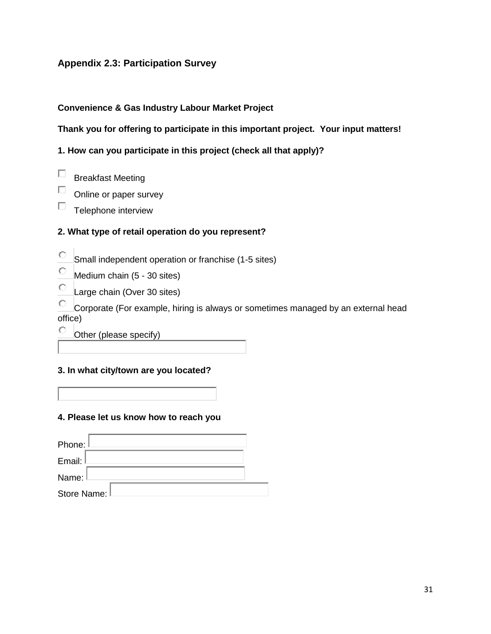# **Appendix 2.3: Participation Survey**

#### **Convenience & Gas Industry Labour Market Project**

# **Thank you for offering to participate in this important project. Your input matters!**

**1. How can you participate in this project (check all that apply)?** 

- П Breakfast Meeting
- П Online or paper survey
- П Telephone interview

# **2. What type of retail operation do you represent?**

- 0 Small independent operation or franchise (1-5 sites)
- $\circ$ Medium chain (5 - 30 sites)
- $\circ$ Large chain (Over 30 sites)

О Corporate (For example, hiring is always or sometimes managed by an external head office)

О Other (please specify)

#### **3. In what city/town are you located?**

#### **4. Please let us know how to reach you**

| Phone: I      |  |
|---------------|--|
| Email:        |  |
| Name:         |  |
| Store Name: I |  |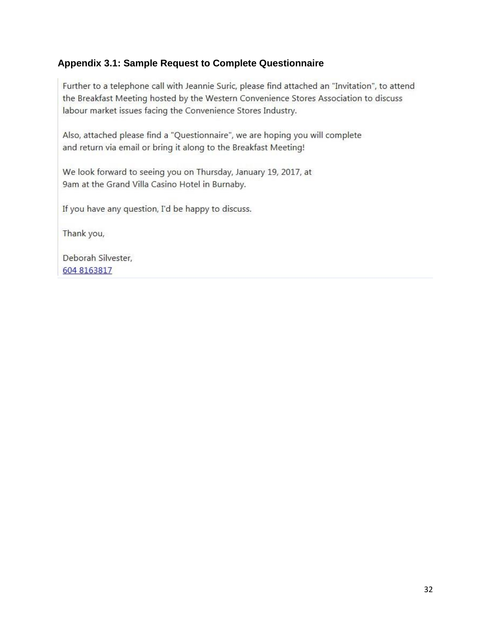# **Appendix 3.1: Sample Request to Complete Questionnaire**

Further to a telephone call with Jeannie Suric, please find attached an "Invitation", to attend the Breakfast Meeting hosted by the Western Convenience Stores Association to discuss labour market issues facing the Convenience Stores Industry.

Also, attached please find a "Questionnaire", we are hoping you will complete and return via email or bring it along to the Breakfast Meeting!

We look forward to seeing you on Thursday, January 19, 2017, at 9am at the Grand Villa Casino Hotel in Burnaby.

If you have any question, I'd be happy to discuss.

Thank you,

Deborah Silvester, 604 8163817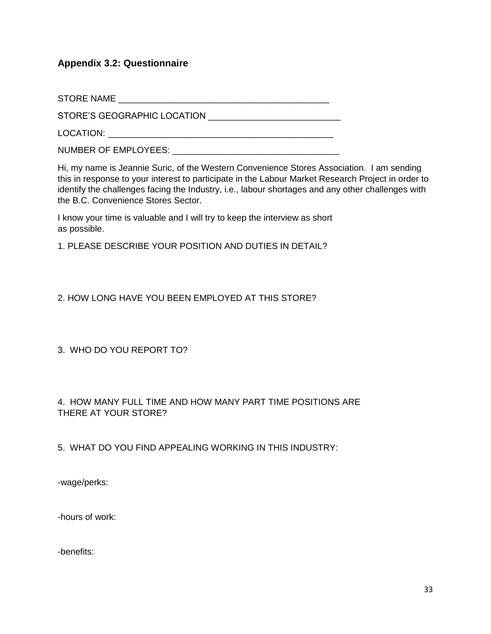# **Appendix 3.2: Questionnaire**

STORE NAME

STORE'S GEOGRAPHIC LOCATION \_\_\_\_\_\_\_\_\_\_\_\_\_\_\_\_\_\_\_\_\_\_\_\_\_\_\_

LOCATION: \_\_\_\_\_\_\_\_\_\_\_\_\_\_\_\_\_\_\_\_\_\_\_\_\_\_\_\_\_\_\_\_\_\_\_\_\_\_\_\_\_\_\_\_\_\_

NUMBER OF EMPLOYEES: \_\_\_\_\_\_\_\_\_\_\_\_\_\_\_\_\_\_\_\_\_\_\_\_\_\_\_\_\_\_\_\_\_\_

Hi, my name is Jeannie Suric, of the Western Convenience Stores Association. I am sending this in response to your interest to participate in the Labour Market Research Project in order to identify the challenges facing the Industry, i.e., labour shortages and any other challenges with the B.C. Convenience Stores Sector.

I know your time is valuable and I will try to keep the interview as short as possible.

1. PLEASE DESCRIBE YOUR POSITION AND DUTIES IN DETAIL?

2. HOW LONG HAVE YOU BEEN EMPLOYED AT THIS STORE?

3. WHO DO YOU REPORT TO?

## 4. HOW MANY FULL TIME AND HOW MANY PART TIME POSITIONS ARE THERE AT YOUR STORE?

5. WHAT DO YOU FIND APPEALING WORKING IN THIS INDUSTRY:

-wage/perks:

-hours of work:

-benefits: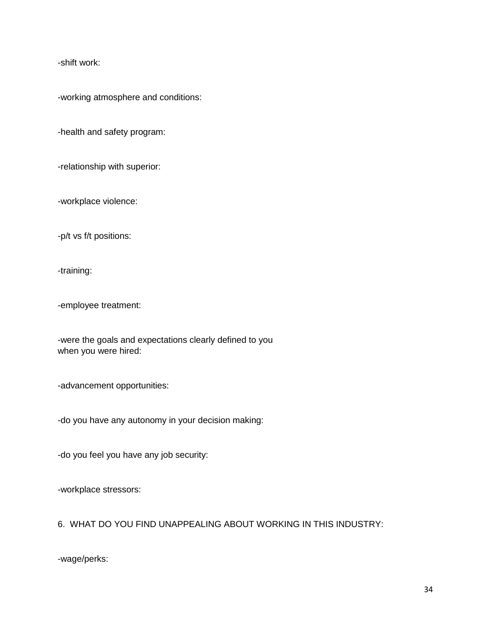-shift work:

-working atmosphere and conditions:

-health and safety program:

-relationship with superior:

-workplace violence:

-p/t vs f/t positions:

-training:

-employee treatment:

-were the goals and expectations clearly defined to you when you were hired:

-advancement opportunities:

-do you have any autonomy in your decision making:

-do you feel you have any job security:

-workplace stressors:

6. WHAT DO YOU FIND UNAPPEALING ABOUT WORKING IN THIS INDUSTRY:

-wage/perks: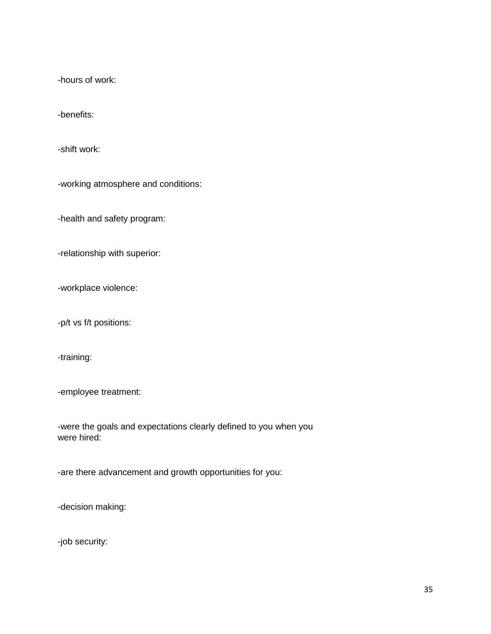-hours of work:

-benefits:

-shift work:

-working atmosphere and conditions:

-health and safety program:

-relationship with superior:

-workplace violence:

-p/t vs f/t positions:

-training:

-employee treatment:

-were the goals and expectations clearly defined to you when you were hired:

-are there advancement and growth opportunities for you:

-decision making:

-job security: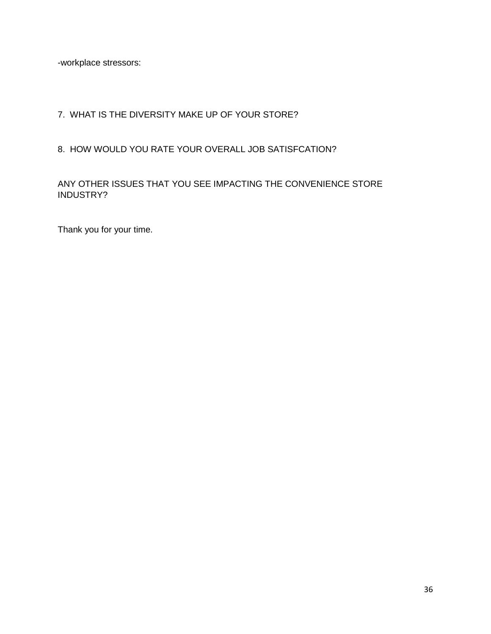-workplace stressors:

# 7. WHAT IS THE DIVERSITY MAKE UP OF YOUR STORE?

# 8. HOW WOULD YOU RATE YOUR OVERALL JOB SATISFCATION?

## ANY OTHER ISSUES THAT YOU SEE IMPACTING THE CONVENIENCE STORE INDUSTRY?

Thank you for your time.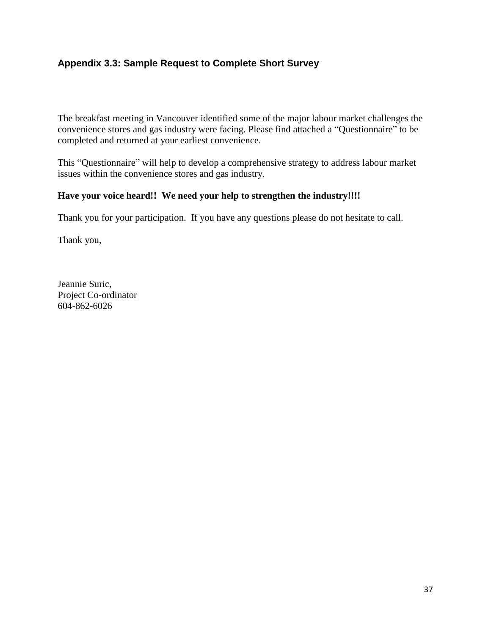# **Appendix 3.3: Sample Request to Complete Short Survey**

The breakfast meeting in Vancouver identified some of the major labour market challenges the convenience stores and gas industry were facing. Please find attached a "Questionnaire" to be completed and returned at your earliest convenience.

This "Questionnaire" will help to develop a comprehensive strategy to address labour market issues within the convenience stores and gas industry.

## **Have your voice heard!! We need your help to strengthen the industry!!!!**

Thank you for your participation. If you have any questions please do not hesitate to call.

Thank you,

Jeannie Suric, Project Co-ordinator 604-862-6026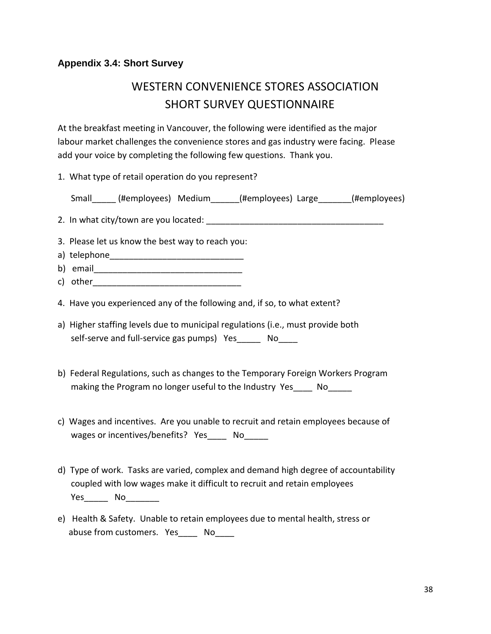# **Appendix 3.4: Short Survey**

# WESTERN CONVENIENCE STORES ASSOCIATION SHORT SURVEY QUESTIONNAIRE

At the breakfast meeting in Vancouver, the following were identified as the major labour market challenges the convenience stores and gas industry were facing. Please add your voice by completing the following few questions. Thank you.

1. What type of retail operation do you represent?

Small (#employees) Medium (#employees) Large (#employees)

2. In what city/town are you located:

- 3. Please let us know the best way to reach you:
- a) telephone\_\_\_\_\_\_\_\_\_\_\_\_\_\_\_\_\_\_\_\_\_\_\_\_\_\_\_\_
- b) email
- c) other
- 4. Have you experienced any of the following and, if so, to what extent?
- a) Higher staffing levels due to municipal regulations (i.e., must provide both self-serve and full-service gas pumps) Yes\_\_\_\_\_\_ No\_\_\_\_
- b) Federal Regulations, such as changes to the Temporary Foreign Workers Program making the Program no longer useful to the Industry Yes \_\_\_\_ No
- c) Wages and incentives. Are you unable to recruit and retain employees because of wages or incentives/benefits? Yes No
- d) Type of work. Tasks are varied, complex and demand high degree of accountability coupled with low wages make it difficult to recruit and retain employees Yes\_\_\_\_\_\_ No
- e) Health & Safety. Unable to retain employees due to mental health, stress or abuse from customers. Yes\_\_\_\_\_ No\_\_\_\_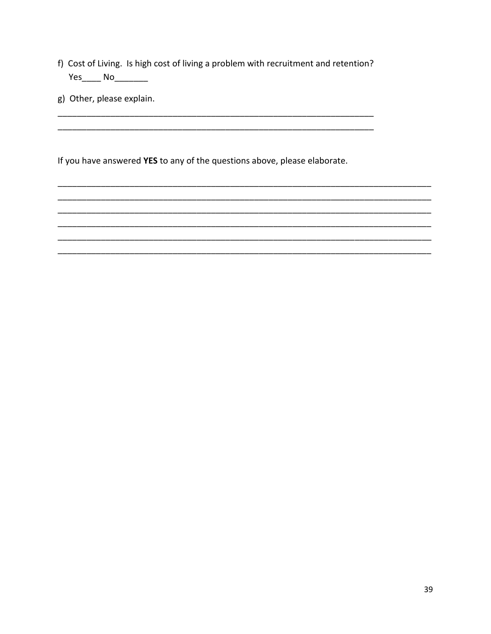f) Cost of Living. Is high cost of living a problem with recruitment and retention? Yes\_\_\_\_\_\_ No\_\_\_\_\_\_\_\_\_

g) Other, please explain.

If you have answered YES to any of the questions above, please elaborate.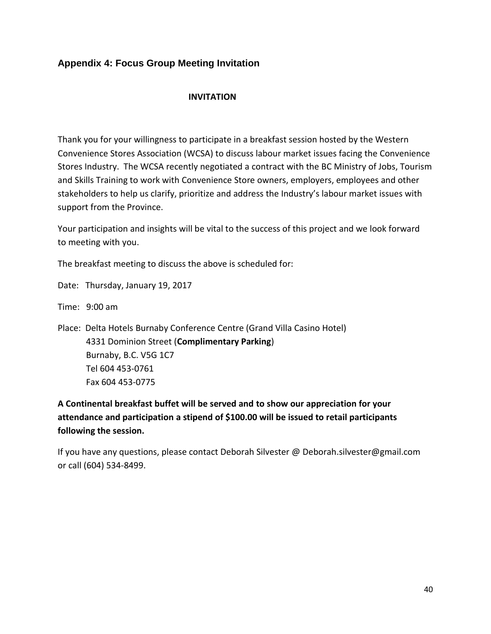# **Appendix 4: Focus Group Meeting Invitation**

#### **INVITATION**

Thank you for your willingness to participate in a breakfast session hosted by the Western Convenience Stores Association (WCSA) to discuss labour market issues facing the Convenience Stores Industry. The WCSA recently negotiated a contract with the BC Ministry of Jobs, Tourism and Skills Training to work with Convenience Store owners, employers, employees and other stakeholders to help us clarify, prioritize and address the Industry's labour market issues with support from the Province.

Your participation and insights will be vital to the success of this project and we look forward to meeting with you.

The breakfast meeting to discuss the above is scheduled for:

Date: Thursday, January 19, 2017

Time: 9:00 am

Place: Delta Hotels Burnaby Conference Centre (Grand Villa Casino Hotel) 4331 Dominion Street (**Complimentary Parking**) Burnaby, B.C. V5G 1C7 Tel 604 453-0761 Fax 604 453-0775

**A Continental breakfast buffet will be served and to show our appreciation for your attendance and participation a stipend of \$100.00 will be issued to retail participants following the session.**

If you have any questions, please contact Deborah Silvester @ Deborah.silvester@gmail.com or call (604) 534-8499.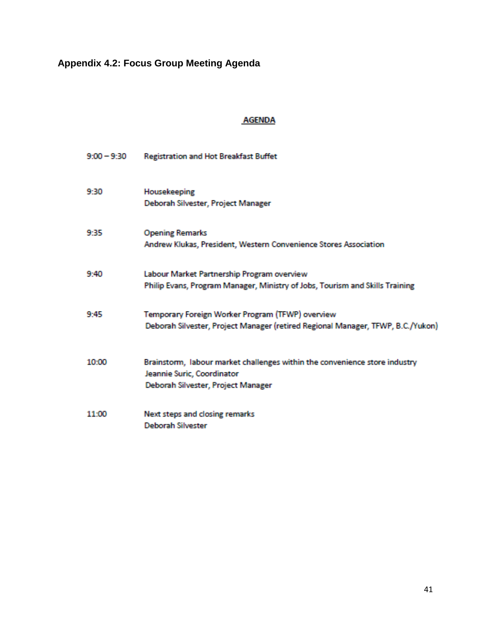# **Appendix 4.2: Focus Group Meeting Agenda**

# **AGENDA**

| $9:00 - 9:30$ | <b>Registration and Hot Breakfast Buffet</b>                                                                                                   |
|---------------|------------------------------------------------------------------------------------------------------------------------------------------------|
| 9:30          | Housekeeping<br>Deborah Silvester, Project Manager                                                                                             |
| 9:35          | <b>Opening Remarks</b><br>Andrew Klukas, President, Western Convenience Stores Association                                                     |
| 9:40          | Labour Market Partnership Program overview<br>Philip Evans, Program Manager, Ministry of Jobs, Tourism and Skills Training                     |
| 9:45          | Temporary Foreign Worker Program (TFWP) overview<br>Deborah Silvester, Project Manager (retired Regional Manager, TFWP, B.C./Yukon)            |
| 10:00         | Brainstorm, labour market challenges within the convenience store industry<br>Jeannie Suric, Coordinator<br>Deborah Silvester, Project Manager |
| 11:00         | Next steps and closing remarks<br>Deborah Silvester                                                                                            |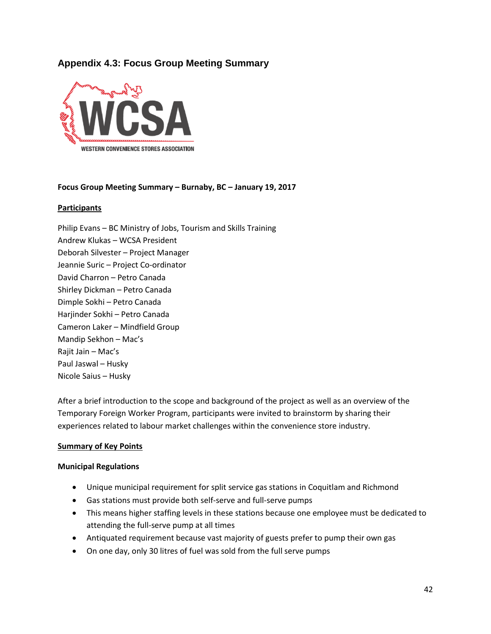# **Appendix 4.3: Focus Group Meeting Summary**



#### **Focus Group Meeting Summary – Burnaby, BC – January 19, 2017**

#### **Participants**

Philip Evans – BC Ministry of Jobs, Tourism and Skills Training Andrew Klukas – WCSA President Deborah Silvester – Project Manager Jeannie Suric – Project Co-ordinator David Charron – Petro Canada Shirley Dickman – Petro Canada Dimple Sokhi – Petro Canada Harjinder Sokhi – Petro Canada Cameron Laker – Mindfield Group Mandip Sekhon – Mac's Rajit Jain – Mac's Paul Jaswal – Husky Nicole Saius – Husky

After a brief introduction to the scope and background of the project as well as an overview of the Temporary Foreign Worker Program, participants were invited to brainstorm by sharing their experiences related to labour market challenges within the convenience store industry.

#### **Summary of Key Points**

#### **Municipal Regulations**

- Unique municipal requirement for split service gas stations in Coquitlam and Richmond
- Gas stations must provide both self-serve and full-serve pumps
- This means higher staffing levels in these stations because one employee must be dedicated to attending the full-serve pump at all times
- Antiquated requirement because vast majority of guests prefer to pump their own gas
- On one day, only 30 litres of fuel was sold from the full serve pumps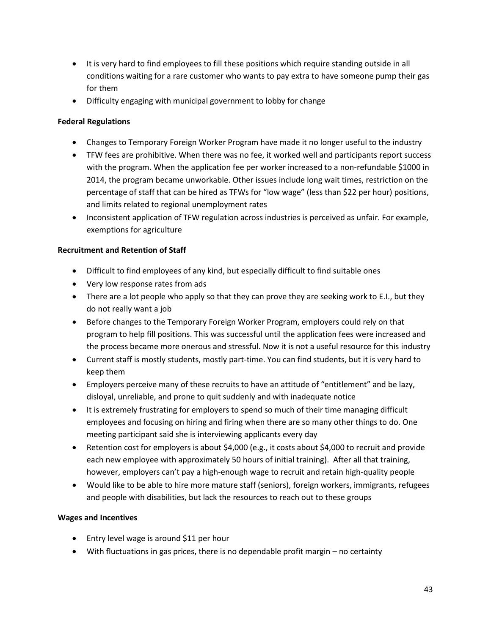- It is very hard to find employees to fill these positions which require standing outside in all conditions waiting for a rare customer who wants to pay extra to have someone pump their gas for them
- Difficulty engaging with municipal government to lobby for change

#### **Federal Regulations**

- Changes to Temporary Foreign Worker Program have made it no longer useful to the industry
- TFW fees are prohibitive. When there was no fee, it worked well and participants report success with the program. When the application fee per worker increased to a non-refundable \$1000 in 2014, the program became unworkable. Other issues include long wait times, restriction on the percentage of staff that can be hired as TFWs for "low wage" (less than \$22 per hour) positions, and limits related to regional unemployment rates
- Inconsistent application of TFW regulation across industries is perceived as unfair. For example, exemptions for agriculture

#### **Recruitment and Retention of Staff**

- Difficult to find employees of any kind, but especially difficult to find suitable ones
- Very low response rates from ads
- There are a lot people who apply so that they can prove they are seeking work to E.I., but they do not really want a job
- Before changes to the Temporary Foreign Worker Program, employers could rely on that program to help fill positions. This was successful until the application fees were increased and the process became more onerous and stressful. Now it is not a useful resource for this industry
- Current staff is mostly students, mostly part-time. You can find students, but it is very hard to keep them
- Employers perceive many of these recruits to have an attitude of "entitlement" and be lazy, disloyal, unreliable, and prone to quit suddenly and with inadequate notice
- It is extremely frustrating for employers to spend so much of their time managing difficult employees and focusing on hiring and firing when there are so many other things to do. One meeting participant said she is interviewing applicants every day
- Retention cost for employers is about \$4,000 (e.g., it costs about \$4,000 to recruit and provide each new employee with approximately 50 hours of initial training). After all that training, however, employers can't pay a high-enough wage to recruit and retain high-quality people
- Would like to be able to hire more mature staff (seniors), foreign workers, immigrants, refugees and people with disabilities, but lack the resources to reach out to these groups

#### **Wages and Incentives**

- Entry level wage is around \$11 per hour
- With fluctuations in gas prices, there is no dependable profit margin no certainty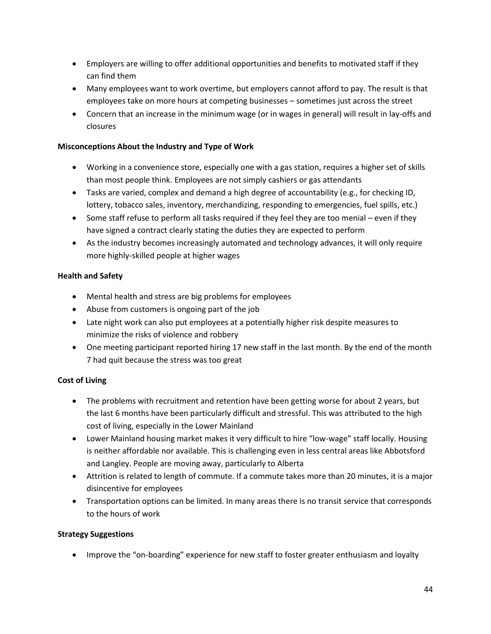- Employers are willing to offer additional opportunities and benefits to motivated staff if they can find them
- Many employees want to work overtime, but employers cannot afford to pay. The result is that employees take on more hours at competing businesses – sometimes just across the street
- Concern that an increase in the minimum wage (or in wages in general) will result in lay-offs and closures

#### **Misconceptions About the Industry and Type of Work**

- Working in a convenience store, especially one with a gas station, requires a higher set of skills than most people think. Employees are not simply cashiers or gas attendants
- Tasks are varied, complex and demand a high degree of accountability (e.g., for checking ID, lottery, tobacco sales, inventory, merchandizing, responding to emergencies, fuel spills, etc.)
- Some staff refuse to perform all tasks required if they feel they are too menial even if they have signed a contract clearly stating the duties they are expected to perform
- As the industry becomes increasingly automated and technology advances, it will only require more highly-skilled people at higher wages

#### **Health and Safety**

- Mental health and stress are big problems for employees
- Abuse from customers is ongoing part of the job
- Late night work can also put employees at a potentially higher risk despite measures to minimize the risks of violence and robbery
- One meeting participant reported hiring 17 new staff in the last month. By the end of the month 7 had quit because the stress was too great

#### **Cost of Living**

- The problems with recruitment and retention have been getting worse for about 2 years, but the last 6 months have been particularly difficult and stressful. This was attributed to the high cost of living, especially in the Lower Mainland
- Lower Mainland housing market makes it very difficult to hire "low-wage" staff locally. Housing is neither affordable nor available. This is challenging even in less central areas like Abbotsford and Langley. People are moving away, particularly to Alberta
- Attrition is related to length of commute. If a commute takes more than 20 minutes, it is a major disincentive for employees
- Transportation options can be limited. In many areas there is no transit service that corresponds to the hours of work

#### **Strategy Suggestions**

• Improve the "on-boarding" experience for new staff to foster greater enthusiasm and loyalty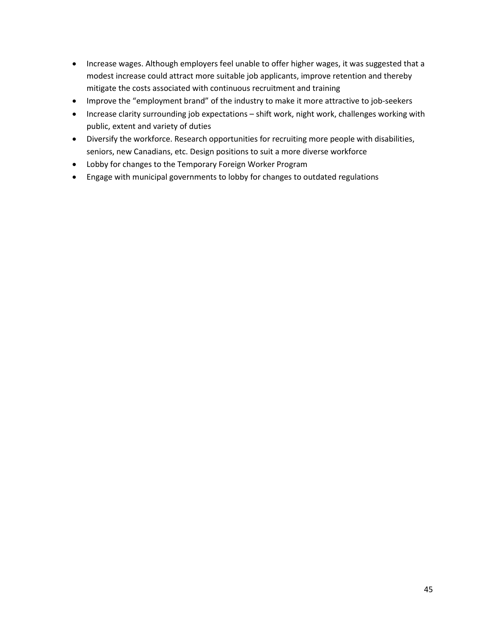- Increase wages. Although employers feel unable to offer higher wages, it was suggested that a modest increase could attract more suitable job applicants, improve retention and thereby mitigate the costs associated with continuous recruitment and training
- Improve the "employment brand" of the industry to make it more attractive to job-seekers
- Increase clarity surrounding job expectations shift work, night work, challenges working with public, extent and variety of duties
- Diversify the workforce. Research opportunities for recruiting more people with disabilities, seniors, new Canadians, etc. Design positions to suit a more diverse workforce
- Lobby for changes to the Temporary Foreign Worker Program
- Engage with municipal governments to lobby for changes to outdated regulations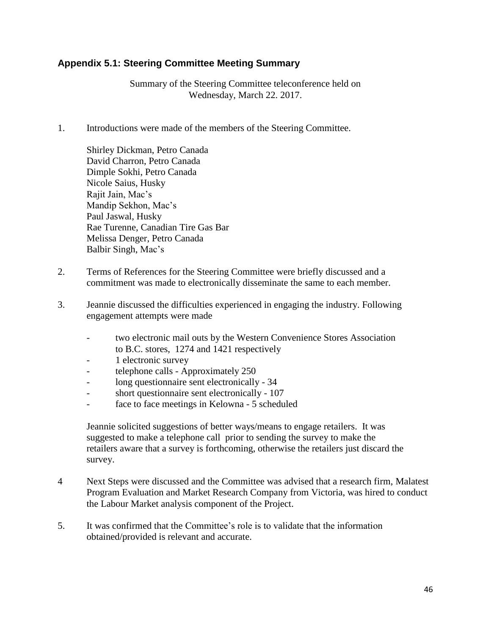# **Appendix 5.1: Steering Committee Meeting Summary**

Summary of the Steering Committee teleconference held on Wednesday, March 22. 2017.

1. Introductions were made of the members of the Steering Committee.

Shirley Dickman, Petro Canada David Charron, Petro Canada Dimple Sokhi, Petro Canada Nicole Saius, Husky Rajit Jain, Mac's Mandip Sekhon, Mac's Paul Jaswal, Husky Rae Turenne, Canadian Tire Gas Bar Melissa Denger, Petro Canada Balbir Singh, Mac's

- 2. Terms of References for the Steering Committee were briefly discussed and a commitment was made to electronically disseminate the same to each member.
- 3. Jeannie discussed the difficulties experienced in engaging the industry. Following engagement attempts were made
	- two electronic mail outs by the Western Convenience Stores Association to B.C. stores, 1274 and 1421 respectively
	- 1 electronic survey
	- telephone calls Approximately 250
	- long questionnaire sent electronically 34
	- short questionnaire sent electronically 107
	- face to face meetings in Kelowna 5 scheduled

Jeannie solicited suggestions of better ways/means to engage retailers. It was suggested to make a telephone call prior to sending the survey to make the retailers aware that a survey is forthcoming, otherwise the retailers just discard the survey.

- 4 Next Steps were discussed and the Committee was advised that a research firm, Malatest Program Evaluation and Market Research Company from Victoria, was hired to conduct the Labour Market analysis component of the Project.
- 5. It was confirmed that the Committee's role is to validate that the information obtained/provided is relevant and accurate.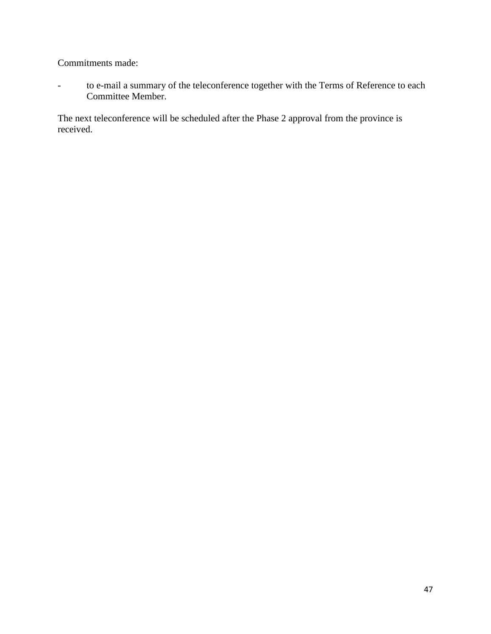Commitments made:

- to e-mail a summary of the teleconference together with the Terms of Reference to each Committee Member.

The next teleconference will be scheduled after the Phase 2 approval from the province is received.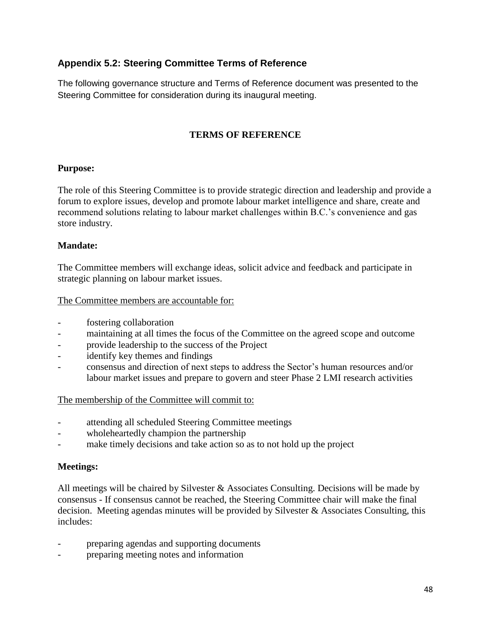# **Appendix 5.2: Steering Committee Terms of Reference**

The following governance structure and Terms of Reference document was presented to the Steering Committee for consideration during its inaugural meeting.

# **TERMS OF REFERENCE**

#### **Purpose:**

The role of this Steering Committee is to provide strategic direction and leadership and provide a forum to explore issues, develop and promote labour market intelligence and share, create and recommend solutions relating to labour market challenges within B.C.'s convenience and gas store industry.

#### **Mandate:**

The Committee members will exchange ideas, solicit advice and feedback and participate in strategic planning on labour market issues.

#### The Committee members are accountable for:

- fostering collaboration
- maintaining at all times the focus of the Committee on the agreed scope and outcome
- provide leadership to the success of the Project
- identify key themes and findings
- consensus and direction of next steps to address the Sector's human resources and/or labour market issues and prepare to govern and steer Phase 2 LMI research activities

#### The membership of the Committee will commit to:

- attending all scheduled Steering Committee meetings
- wholeheartedly champion the partnership
- make timely decisions and take action so as to not hold up the project

#### **Meetings:**

All meetings will be chaired by Silvester & Associates Consulting. Decisions will be made by consensus - If consensus cannot be reached, the Steering Committee chair will make the final decision. Meeting agendas minutes will be provided by Silvester & Associates Consulting, this includes:

- preparing agendas and supporting documents
- preparing meeting notes and information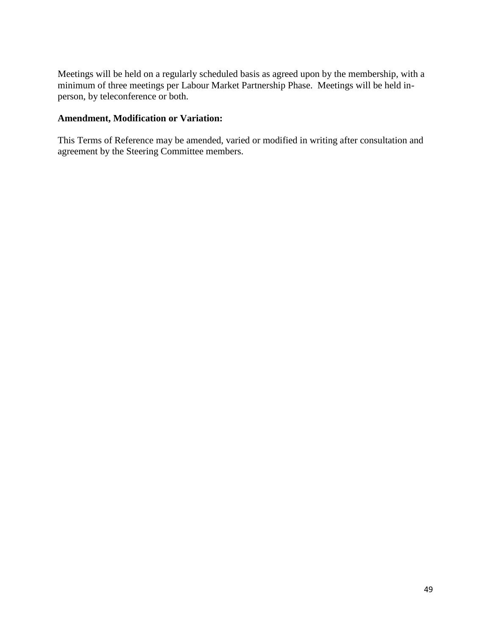Meetings will be held on a regularly scheduled basis as agreed upon by the membership, with a minimum of three meetings per Labour Market Partnership Phase. Meetings will be held inperson, by teleconference or both.

## **Amendment, Modification or Variation:**

This Terms of Reference may be amended, varied or modified in writing after consultation and agreement by the Steering Committee members.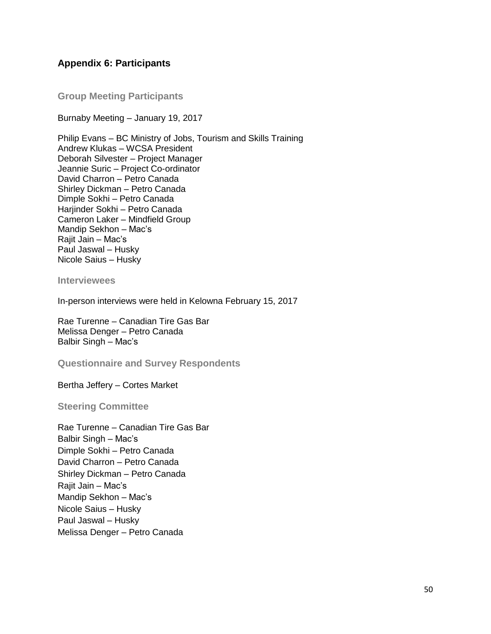#### **Appendix 6: Participants**

**Group Meeting Participants**

Burnaby Meeting – January 19, 2017

Philip Evans – BC Ministry of Jobs, Tourism and Skills Training Andrew Klukas – WCSA President Deborah Silvester – Project Manager Jeannie Suric – Project Co-ordinator David Charron – Petro Canada Shirley Dickman – Petro Canada Dimple Sokhi – Petro Canada Harjinder Sokhi – Petro Canada Cameron Laker – Mindfield Group Mandip Sekhon – Mac's Rajit Jain – Mac's Paul Jaswal – Husky Nicole Saius – Husky

**Interviewees**

In-person interviews were held in Kelowna February 15, 2017

Rae Turenne – Canadian Tire Gas Bar Melissa Denger – Petro Canada Balbir Singh – Mac's

**Questionnaire and Survey Respondents**

Bertha Jeffery – Cortes Market

**Steering Committee**

Rae Turenne – Canadian Tire Gas Bar Balbir Singh – Mac's Dimple Sokhi – Petro Canada David Charron – Petro Canada Shirley Dickman – Petro Canada Rajit Jain – Mac's Mandip Sekhon – Mac's Nicole Saius – Husky Paul Jaswal – Husky Melissa Denger – Petro Canada